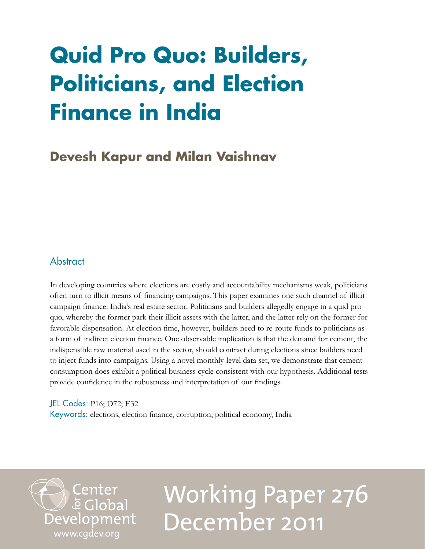## **Quid Pro Quo: Builders, Politicians, and Election Finance in India**

## **Devesh Kapur and Milan Vaishnav**

## **Abstract**

In developing countries where elections are costly and accountability mechanisms weak, politicians often turn to illicit means of financing campaigns. This paper examines one such channel of illicit campaign finance: India's real estate sector. Politicians and builders allegedly engage in a quid pro quo, whereby the former park their illicit assets with the latter, and the latter rely on the former for favorable dispensation. At election time, however, builders need to re-route funds to politicians as a form of indirect election finance. One observable implication is that the demand for cement, the indispensible raw material used in the sector, should contract during elections since builders need to inject funds into campaigns. Using a novel monthly-level data set, we demonstrate that cement consumption does exhibit a political business cycle consistent with our hypothesis. Additional tests provide confidence in the robustness and interpretation of our findings.

JEL Codes: P16; D72; E32 Keywords: elections, election finance, corruption, political economy, India

Center<br>Development [www.cgdev.org](http://www.cgdev.org)

# Working Paper 276 December 2011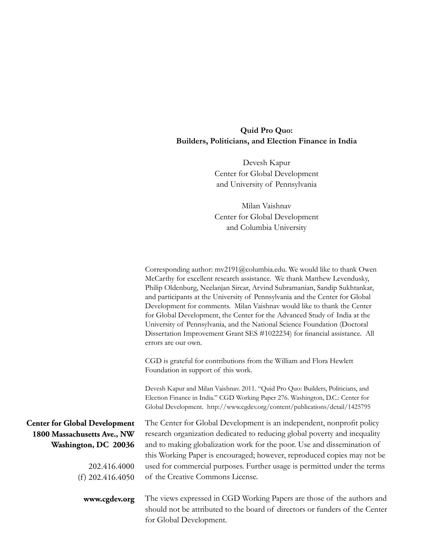## **Quid Pro Quo: Builders, Politicians, and Election Finance in India**

Devesh Kapur Center for Global Development and University of Pennsylvania

Milan Vaishnav Center for Global Development and Columbia University

|                                                                                             | Corresponding author: mv2191@columbia.edu. We would like to thank Owen<br>McCarthy for excellent research assistance. We thank Matthew Levendusky,<br>Philip Oldenburg, Neelanjan Sircar, Arvind Subramanian, Sandip Sukhtankar,<br>and participants at the University of Pennsylvania and the Center for Global<br>Development for comments. Milan Vaishnav would like to thank the Center<br>for Global Development, the Center for the Advanced Study of India at the<br>University of Pennsylvania, and the National Science Foundation (Doctoral<br>Dissertation Improvement Grant SES #1022234) for financial assistance. All<br>errors are our own. |
|---------------------------------------------------------------------------------------------|------------------------------------------------------------------------------------------------------------------------------------------------------------------------------------------------------------------------------------------------------------------------------------------------------------------------------------------------------------------------------------------------------------------------------------------------------------------------------------------------------------------------------------------------------------------------------------------------------------------------------------------------------------|
|                                                                                             | CGD is grateful for contributions from the William and Flora Hewlett<br>Foundation in support of this work.                                                                                                                                                                                                                                                                                                                                                                                                                                                                                                                                                |
|                                                                                             | Devesh Kapur and Milan Vaishnav. 2011. "Quid Pro Quo: Builders, Politicians, and<br>Election Finance in India." CGD Working Paper 276. Washington, D.C.: Center for<br>Global Development. http://www.cgdev.org/content/publications/detail/1425795                                                                                                                                                                                                                                                                                                                                                                                                        |
| <b>Center for Global Development</b><br>1800 Massachusetts Ave., NW<br>Washington, DC 20036 | The Center for Global Development is an independent, nonprofit policy<br>research organization dedicated to reducing global poverty and inequality<br>and to making globalization work for the poor. Use and dissemination of<br>this Working Paper is encouraged; however, reproduced copies may not be                                                                                                                                                                                                                                                                                                                                                   |
| 202.416.4000                                                                                | used for commercial purposes. Further usage is permitted under the terms                                                                                                                                                                                                                                                                                                                                                                                                                                                                                                                                                                                   |
| (f) $202.416.4050$                                                                          | of the Creative Commons License.                                                                                                                                                                                                                                                                                                                                                                                                                                                                                                                                                                                                                           |
| www.cgdev.org                                                                               | The views expressed in CGD Working Papers are those of the authors and<br>should not be attributed to the board of directors or funders of the Center<br>for Global Development.                                                                                                                                                                                                                                                                                                                                                                                                                                                                           |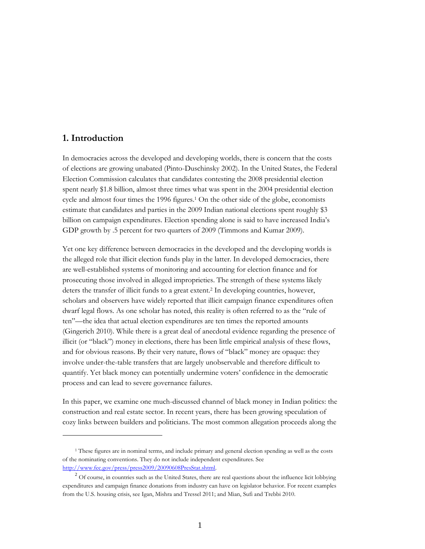## **1. Introduction**

 $\overline{a}$ 

In democracies across the developed and developing worlds, there is concern that the costs of elections are growing unabated (Pinto-Duschinsky 2002). In the United States, the Federal Election Commission calculates that candidates contesting the 2008 presidential election spent nearly \$1.8 billion, almost three times what was spent in the 2004 presidential election cycle and almost four times the 1996 figures.<sup>1</sup> On the other side of the globe, economists estimate that candidates and parties in the 2009 Indian national elections spent roughly \$3 billion on campaign expenditures. Election spending alone is said to have increased India's GDP growth by .5 percent for two quarters of 2009 (Timmons and Kumar 2009).

Yet one key difference between democracies in the developed and the developing worlds is the alleged role that illicit election funds play in the latter. In developed democracies, there are well-established systems of monitoring and accounting for election finance and for prosecuting those involved in alleged improprieties. The strength of these systems likely deters the transfer of illicit funds to a great extent.<sup>2</sup> In developing countries, however, scholars and observers have widely reported that illicit campaign finance expenditures often dwarf legal flows. As one scholar has noted, this reality is often referred to as the "rule of ten"—the idea that actual election expenditures are ten times the reported amounts (Gingerich 2010). While there is a great deal of anecdotal evidence regarding the presence of illicit (or "black") money in elections, there has been little empirical analysis of these flows, and for obvious reasons. By their very nature, flows of "black" money are opaque: they involve under-the-table transfers that are largely unobservable and therefore difficult to quantify. Yet black money can potentially undermine voters' confidence in the democratic process and can lead to severe governance failures.

In this paper, we examine one much-discussed channel of black money in Indian politics: the construction and real estate sector. In recent years, there has been growing speculation of cozy links between builders and politicians. The most common allegation proceeds along the

<sup>1</sup> These figures are in nominal terms, and include primary and general election spending as well as the costs of the nominating conventions. They do not include independent expenditures. See [http://www.fec.gov/press/press2009/20090608PresStat.shtml.](http://www.fec.gov/press/press2009/20090608PresStat.shtml) 

 $2$  Of course, in countries such as the United States, there are real questions about the influence licit lobbying expenditures and campaign finance donations from industry can have on legislator behavior. For recent examples from the U.S. housing crisis, see Igan, Mishra and Tressel 2011; and Mian, Sufi and Trebbi 2010.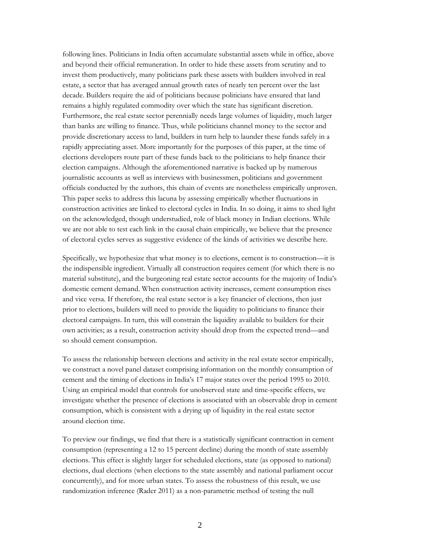following lines. Politicians in India often accumulate substantial assets while in office, above and beyond their official remuneration. In order to hide these assets from scrutiny and to invest them productively, many politicians park these assets with builders involved in real estate, a sector that has averaged annual growth rates of nearly ten percent over the last decade. Builders require the aid of politicians because politicians have ensured that land remains a highly regulated commodity over which the state has significant discretion. Furthermore, the real estate sector perennially needs large volumes of liquidity, much larger than banks are willing to finance. Thus, while politicians channel money to the sector and provide discretionary access to land, builders in turn help to launder these funds safely in a rapidly appreciating asset. More importantly for the purposes of this paper, at the time of elections developers route part of these funds back to the politicians to help finance their election campaigns. Although the aforementioned narrative is backed up by numerous journalistic accounts as well as interviews with businessmen, politicians and government officials conducted by the authors, this chain of events are nonetheless empirically unproven. This paper seeks to address this lacuna by assessing empirically whether fluctuations in construction activities are linked to electoral cycles in India. In so doing, it aims to shed light on the acknowledged, though understudied, role of black money in Indian elections. While we are not able to test each link in the causal chain empirically, we believe that the presence of electoral cycles serves as suggestive evidence of the kinds of activities we describe here.

Specifically, we hypothesize that what money is to elections, cement is to construction—it is the indispensible ingredient. Virtually all construction requires cement (for which there is no material substitute), and the burgeoning real estate sector accounts for the majority of India's domestic cement demand. When construction activity increases, cement consumption rises and vice versa. If therefore, the real estate sector is a key financier of elections, then just prior to elections, builders will need to provide the liquidity to politicians to finance their electoral campaigns. In turn, this will constrain the liquidity available to builders for their own activities; as a result, construction activity should drop from the expected trend—and so should cement consumption.

To assess the relationship between elections and activity in the real estate sector empirically, we construct a novel panel dataset comprising information on the monthly consumption of cement and the timing of elections in India's 17 major states over the period 1995 to 2010. Using an empirical model that controls for unobserved state and time-specific effects, we investigate whether the presence of elections is associated with an observable drop in cement consumption, which is consistent with a drying up of liquidity in the real estate sector around election time.

To preview our findings, we find that there is a statistically significant contraction in cement consumption (representing a 12 to 15 percent decline) during the month of state assembly elections. This effect is slightly larger for scheduled elections, state (as opposed to national) elections, dual elections (when elections to the state assembly and national parliament occur concurrently), and for more urban states. To assess the robustness of this result, we use randomization inference (Rader 2011) as a non-parametric method of testing the null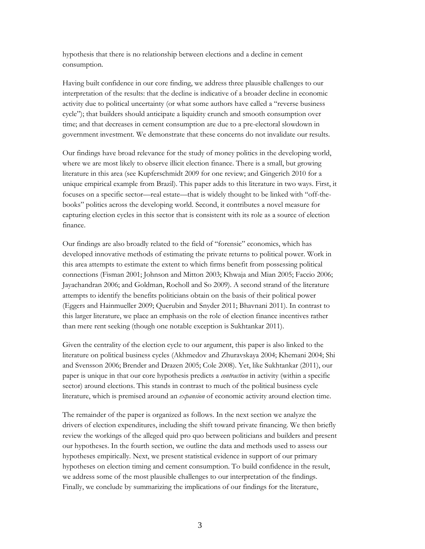hypothesis that there is no relationship between elections and a decline in cement consumption.

Having built confidence in our core finding, we address three plausible challenges to our interpretation of the results: that the decline is indicative of a broader decline in economic activity due to political uncertainty (or what some authors have called a "reverse business cycle"); that builders should anticipate a liquidity crunch and smooth consumption over time; and that decreases in cement consumption are due to a pre-electoral slowdown in government investment. We demonstrate that these concerns do not invalidate our results.

Our findings have broad relevance for the study of money politics in the developing world, where we are most likely to observe illicit election finance. There is a small, but growing literature in this area (see Kupferschmidt 2009 for one review; and Gingerich 2010 for a unique empirical example from Brazil). This paper adds to this literature in two ways. First, it focuses on a specific sector—real estate—that is widely thought to be linked with "off-thebooks" politics across the developing world. Second, it contributes a novel measure for capturing election cycles in this sector that is consistent with its role as a source of election finance.

Our findings are also broadly related to the field of "forensic" economics, which has developed innovative methods of estimating the private returns to political power. Work in this area attempts to estimate the extent to which firms benefit from possessing political connections (Fisman 2001; Johnson and Mitton 2003; Khwaja and Mian 2005; Faccio 2006; Jayachandran 2006; and Goldman, Rocholl and So 2009). A second strand of the literature attempts to identify the benefits politicians obtain on the basis of their political power (Eggers and Hainmueller 2009; Querubin and Snyder 2011; Bhavnani 2011). In contrast to this larger literature, we place an emphasis on the role of election finance incentives rather than mere rent seeking (though one notable exception is Sukhtankar 2011).

Given the centrality of the election cycle to our argument, this paper is also linked to the literature on political business cycles (Akhmedov and Zhuravskaya 2004; Khemani 2004; Shi and Svensson 2006; Brender and Drazen 2005; Cole 2008). Yet, like Sukhtankar (2011), our paper is unique in that our core hypothesis predicts a *contraction* in activity (within a specific sector) around elections. This stands in contrast to much of the political business cycle literature, which is premised around an *expansion* of economic activity around election time.

The remainder of the paper is organized as follows. In the next section we analyze the drivers of election expenditures, including the shift toward private financing. We then briefly review the workings of the alleged quid pro quo between politicians and builders and present our hypotheses. In the fourth section, we outline the data and methods used to assess our hypotheses empirically. Next, we present statistical evidence in support of our primary hypotheses on election timing and cement consumption. To build confidence in the result, we address some of the most plausible challenges to our interpretation of the findings. Finally, we conclude by summarizing the implications of our findings for the literature,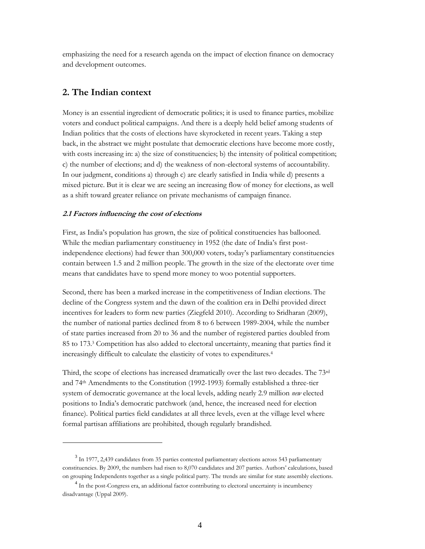emphasizing the need for a research agenda on the impact of election finance on democracy and development outcomes.

## **2. The Indian context**

 $\overline{a}$ 

Money is an essential ingredient of democratic politics; it is used to finance parties, mobilize voters and conduct political campaigns. And there is a deeply held belief among students of Indian politics that the costs of elections have skyrocketed in recent years. Taking a step back, in the abstract we might postulate that democratic elections have become more costly, with costs increasing in: a) the size of constituencies; b) the intensity of political competition; c) the number of elections; and d) the weakness of non-electoral systems of accountability. In our judgment, conditions a) through c) are clearly satisfied in India while d) presents a mixed picture. But it is clear we are seeing an increasing flow of money for elections, as well as a shift toward greater reliance on private mechanisms of campaign finance.

## **2.1 Factors influencing the cost of elections**

First, as India's population has grown, the size of political constituencies has ballooned. While the median parliamentary constituency in 1952 (the date of India's first postindependence elections) had fewer than 300,000 voters, today's parliamentary constituencies contain between 1.5 and 2 million people. The growth in the size of the electorate over time means that candidates have to spend more money to woo potential supporters.

Second, there has been a marked increase in the competitiveness of Indian elections. The decline of the Congress system and the dawn of the coalition era in Delhi provided direct incentives for leaders to form new parties (Ziegfeld 2010). According to Sridharan (2009), the number of national parties declined from 8 to 6 between 1989-2004, while the number of state parties increased from 20 to 36 and the number of registered parties doubled from 85 to 173.<sup>3</sup> Competition has also added to electoral uncertainty, meaning that parties find it increasingly difficult to calculate the elasticity of votes to expenditures.<sup>4</sup>

Third, the scope of elections has increased dramatically over the last two decades. The  $73<sup>rd</sup>$ and 74th Amendments to the Constitution (1992-1993) formally established a three-tier system of democratic governance at the local levels, adding nearly 2.9 million *new* elected positions to India's democratic patchwork (and, hence, the increased need for election finance). Political parties field candidates at all three levels, even at the village level where formal partisan affiliations are prohibited, though regularly brandished.

<sup>&</sup>lt;sup>3</sup> In 1977, 2,439 candidates from 35 parties contested parliamentary elections across 543 parliamentary constituencies. By 2009, the numbers had risen to 8,070 candidates and 207 parties. Authors' calculations, based on grouping Independents together as a single political party. The trends are similar for state assembly elections.

<sup>&</sup>lt;sup>4</sup> In the post-Congress era, an additional factor contributing to electoral uncertainty is incumbency disadvantage (Uppal 2009).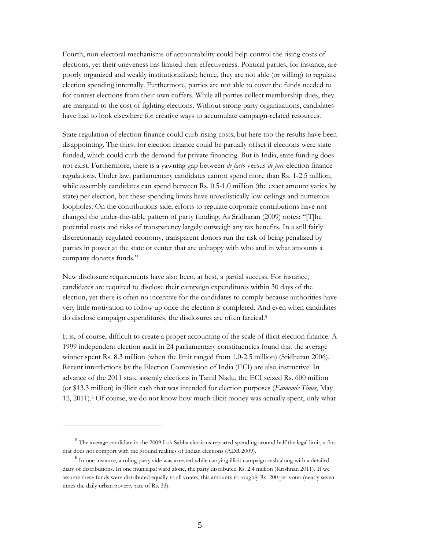Fourth, non-electoral mechanisms of accountability could help control the rising costs of elections, yet their uneveness has limited their effectiveness. Political parties, for instance, are poorly organized and weakly institutionalized; hence, they are not able (or willing) to regulate election spending internally. Furthermore, parties are not able to cover the funds needed to for contest elections from their own coffers. While all parties collect membership dues, they are marginal to the cost of fighting elections. Without strong party organizations, candidates have had to look elsewhere for creative ways to accumulate campaign-related resources.

State regulation of election finance could curb rising costs, but here too the results have been disappointing. The thirst for election finance could be partially offset if elections were state funded, which could curb the demand for private financing. But in India, state funding does not exist. Furthermore, there is a yawning gap between *de facto* versus *de jure* election finance regulations. Under law, parliamentary candidates cannot spend more than Rs. 1-2.5 million, while assembly candidates can spend between Rs. 0.5-1.0 million (the exact amount varies by state) per election, but these spending limits have unrealistically low ceilings and numerous loopholes. On the contributions side, efforts to regulate corporate contributions have not changed the under-the-table pattern of party funding. As Sridharan (2009) notes: "[T]he potential costs and risks of transparency largely outweigh any tax benefits. In a still fairly discretionarily regulated economy, transparent donors run the risk of being penalized by parties in power at the state or center that are unhappy with who and in what amounts a company donates funds."

New disclosure requirements have also been, at best, a partial success. For instance, candidates are required to disclose their campaign expenditures within 30 days of the election, yet there is often no incentive for the candidates to comply because authorities have very little motivation to follow up once the election is completed. And even when candidates do disclose campaign expenditures, the disclosures are often farcical.<sup>5</sup>

It is, of course, difficult to create a proper accounting of the scale of illicit election finance. A 1999 independent election audit in 24 parliamentary constituencies found that the average winner spent Rs. 8.3 million (when the limit ranged from 1.0-2.5 million) (Sridharan 2006). Recent interdictions by the Election Commission of India (ECI) are also instructive. In advance of the 2011 state assemly elections in Tamil Nadu, the ECI seized Rs. 600 million (or \$13.3 million) in illicit cash that was intended for election purposes (*Economic Times*, May 12, 2011).<sup>6</sup> Of course, we do not know how much illicit money was actually spent, only what

 $\overline{a}$ 

<sup>&</sup>lt;sup>5</sup> The average candidate in the 2009 Lok Sabha elections reported spending around half the legal limit, a fact that does not comport with the ground realities of Indian elections (ADR 2009).

<sup>&</sup>lt;sup>6</sup> In one instance, a ruling party aide was arrested while carrying illicit campaign cash along with a detailed diary of distributions. In one municipal ward alone, the party distributed Rs. 2.4 million (Krishnan 2011). If we assume these funds were distributed equally to all voters, this amounts to roughly Rs. 200 per voter (nearly seven times the daily urban poverty rate of Rs. 33).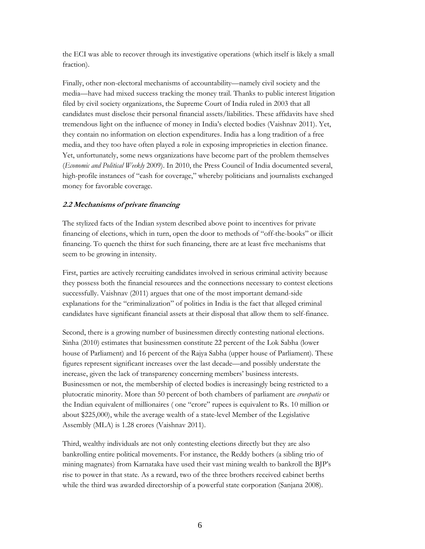the ECI was able to recover through its investigative operations (which itself is likely a small fraction).

Finally, other non-electoral mechanisms of accountability—namely civil society and the media—have had mixed success tracking the money trail. Thanks to public interest litigation filed by civil society organizations, the Supreme Court of India ruled in 2003 that all candidates must disclose their personal financial assets/liabilities. These affidavits have shed tremendous light on the influence of money in India's elected bodies (Vaishnav 2011). Yet, they contain no information on election expenditures. India has a long tradition of a free media, and they too have often played a role in exposing improprieties in election finance. Yet, unfortunately, some news organizations have become part of the problem themselves (*Economic and Political Weekly* 2009). In 2010, the Press Council of India documented several, high-profile instances of "cash for coverage," whereby politicians and journalists exchanged money for favorable coverage.

## **2.2 Mechanisms of private financing**

The stylized facts of the Indian system described above point to incentives for private financing of elections, which in turn, open the door to methods of "off-the-books" or illicit financing. To quench the thirst for such financing, there are at least five mechanisms that seem to be growing in intensity.

First, parties are actively recruiting candidates involved in serious criminal activity because they possess both the financial resources and the connections necessary to contest elections successfully. Vaishnav (2011) argues that one of the most important demand-side explanations for the "criminalization" of politics in India is the fact that alleged criminal candidates have significant financial assets at their disposal that allow them to self-finance.

Second, there is a growing number of businessmen directly contesting national elections. Sinha (2010) estimates that businessmen constitute 22 percent of the Lok Sabha (lower house of Parliament) and 16 percent of the Rajya Sabha (upper house of Parliament). These figures represent significant increases over the last decade—and possibly understate the increase, given the lack of transparency concerning members' business interests. Businessmen or not, the membership of elected bodies is increasingly being restricted to a plutocratic minority. More than 50 percent of both chambers of parliament are *crorepatis* or the Indian equivalent of millionaires ( one "crore" rupees is equivalent to Rs. 10 million or about \$225,000), while the average wealth of a state-level Member of the Legislative Assembly (MLA) is 1.28 crores (Vaishnav 2011).

Third, wealthy individuals are not only contesting elections directly but they are also bankrolling entire political movements. For instance, the Reddy bothers (a sibling trio of mining magnates) from Karnataka have used their vast mining wealth to bankroll the BJP's rise to power in that state. As a reward, two of the three brothers received cabinet berths while the third was awarded directorship of a powerful state corporation (Sanjana 2008).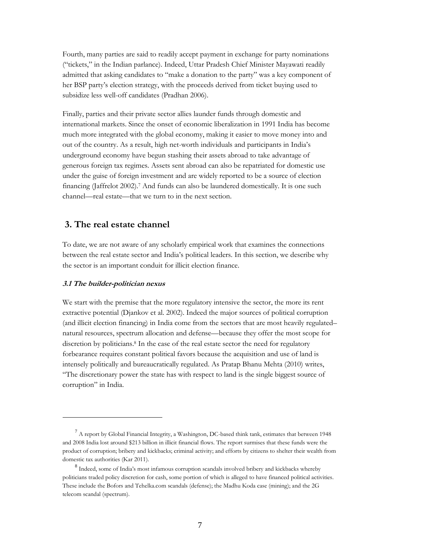Fourth, many parties are said to readily accept payment in exchange for party nominations ("tickets," in the Indian parlance). Indeed, Uttar Pradesh Chief Minister Mayawati readily admitted that asking candidates to "make a donation to the party" was a key component of her BSP party's election strategy, with the proceeds derived from ticket buying used to subsidize less well-off candidates (Pradhan 2006).

Finally, parties and their private sector allies launder funds through domestic and international markets. Since the onset of economic liberalization in 1991 India has become much more integrated with the global economy, making it easier to move money into and out of the country. As a result, high net-worth individuals and participants in India's underground economy have begun stashing their assets abroad to take advantage of generous foreign tax regimes. Assets sent abroad can also be repatriated for domestic use under the guise of foreign investment and are widely reported to be a source of election financing (Jaffrelot 2002).<sup>7</sup> And funds can also be laundered domestically. It is one such channel—real estate—that we turn to in the next section.

## **3. The real estate channel**

To date, we are not aware of any scholarly empirical work that examines the connections between the real estate sector and India's political leaders. In this section, we describe why the sector is an important conduit for illicit election finance.

#### **3.1 The builder-politician nexus**

 $\overline{a}$ 

We start with the premise that the more regulatory intensive the sector, the more its rent extractive potential (Djankov et al. 2002). Indeed the major sources of political corruption (and illicit election financing) in India come from the sectors that are most heavily regulated– natural resources, spectrum allocation and defense—because they offer the most scope for discretion by politicians.<sup>8</sup> In the case of the real estate sector the need for regulatory forbearance requires constant political favors because the acquisition and use of land is intensely politically and bureaucratically regulated. As Pratap Bhanu Mehta (2010) writes, "The discretionary power the state has with respect to land is the single biggest source of corruption" in India.

 $<sup>7</sup>$  A report by Global Financial Integrity, a Washington, DC-based think tank, estimates that between 1948</sup> and 2008 India lost around \$213 billion in illicit financial flows. The report surmises that these funds were the product of corruption; bribery and kickbacks; criminal activity; and efforts by citizens to shelter their wealth from domestic tax authorities (Kar 2011).

<sup>&</sup>lt;sup>8</sup> Indeed, some of India's most infamous corruption scandals involved bribery and kickbacks whereby politicians traded policy discretion for cash, some portion of which is alleged to have financed political activities. These include the Bofors and Tehelka.com scandals (defense); the Madhu Koda case (mining); and the 2G telecom scandal (spectrum).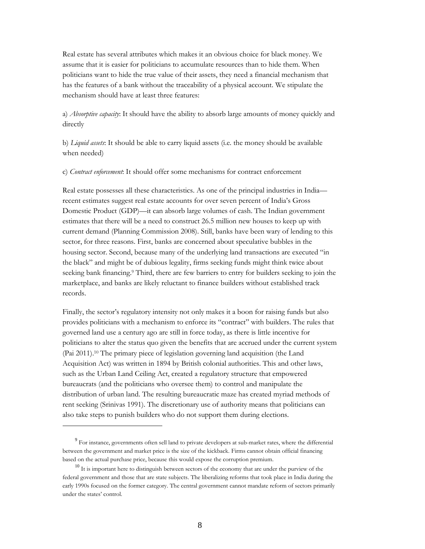Real estate has several attributes which makes it an obvious choice for black money. We assume that it is easier for politicians to accumulate resources than to hide them. When politicians want to hide the true value of their assets, they need a financial mechanism that has the features of a bank without the traceability of a physical account. We stipulate the mechanism should have at least three features:

a) *Absorptive capacity*: It should have the ability to absorb large amounts of money quickly and directly

b) *Liquid assets*: It should be able to carry liquid assets (i.e. the money should be available when needed)

c) *Contract enforcement*: It should offer some mechanisms for contract enforcement

Real estate possesses all these characteristics. As one of the principal industries in India recent estimates suggest real estate accounts for over seven percent of India's Gross Domestic Product (GDP)—it can absorb large volumes of cash. The Indian government estimates that there will be a need to construct 26.5 million new houses to keep up with current demand (Planning Commission 2008). Still, banks have been wary of lending to this sector, for three reasons. First, banks are concerned about speculative bubbles in the housing sector. Second, because many of the underlying land transactions are executed "in the black" and might be of dubious legality, firms seeking funds might think twice about seeking bank financing.<sup>9</sup> Third, there are few barriers to entry for builders seeking to join the marketplace, and banks are likely reluctant to finance builders without established track records.

Finally, the sector's regulatory intensity not only makes it a boon for raising funds but also provides politicians with a mechanism to enforce its "contract" with builders. The rules that governed land use a century ago are still in force today, as there is little incentive for politicians to alter the status quo given the benefits that are accrued under the current system (Pai 2011).<sup>10</sup> The primary piece of legislation governing land acquisition (the Land Acquisition Act) was written in 1894 by British colonial authorities. This and other laws, such as the Urban Land Ceiling Act, created a regulatory structure that empowered bureaucrats (and the politicians who oversee them) to control and manipulate the distribution of urban land. The resulting bureaucratic maze has created myriad methods of rent seeking (Srinivas 1991). The discretionary use of authority means that politicians can also take steps to punish builders who do not support them during elections.

 $\overline{a}$ 

<sup>&</sup>lt;sup>9</sup> For instance, governments often sell land to private developers at sub-market rates, where the differential between the government and market price is the size of the kickback. Firms cannot obtain official financing based on the actual purchase price, because this would expose the corruption premium.

<sup>&</sup>lt;sup>10</sup> It is important here to distinguish between sectors of the economy that are under the purview of the federal government and those that are state subjects. The liberalizing reforms that took place in India during the early 1990s focused on the former category. The central government cannot mandate reform of sectors primarily under the states' control.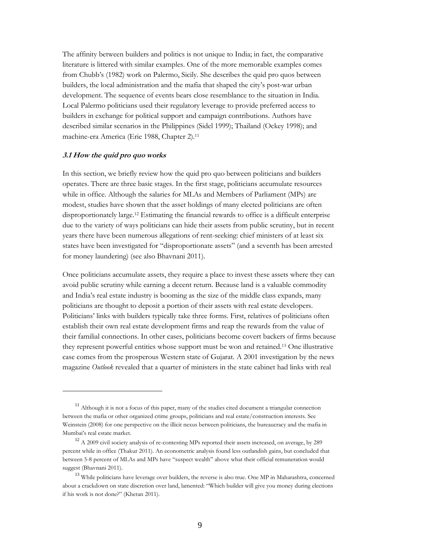The affinity between builders and politics is not unique to India; in fact, the comparative literature is littered with similar examples. One of the more memorable examples comes from Chubb's (1982) work on Palermo, Sicily. She describes the quid pro quos between builders, the local administration and the mafia that shaped the city's post-war urban development. The sequence of events bears close resemblance to the situation in India. Local Palermo politicians used their regulatory leverage to provide preferred access to builders in exchange for political support and campaign contributions. Authors have described similar scenarios in the Philippines (Sidel 1999); Thailand (Ockey 1998); and machine-era America (Erie 1988, Chapter 2).<sup>11</sup>

#### **3.1 How the quid pro quo works**

 $\overline{a}$ 

In this section, we briefly review how the quid pro quo between politicians and builders operates. There are three basic stages. In the first stage, politicians accumulate resources while in office. Although the salaries for MLAs and Members of Parliament (MPs) are modest, studies have shown that the asset holdings of many elected politicians are often disproportionately large.<sup>12</sup> Estimating the financial rewards to office is a difficult enterprise due to the variety of ways politicians can hide their assets from public scrutiny, but in recent years there have been numerous allegations of rent-seeking: chief ministers of at least six states have been investigated for "disproportionate assets" (and a seventh has been arrested for money laundering) (see also Bhavnani 2011).

Once politicians accumulate assets, they require a place to invest these assets where they can avoid public scrutiny while earning a decent return. Because land is a valuable commodity and India's real estate industry is booming as the size of the middle class expands, many politicians are thought to deposit a portion of their assets with real estate developers. Politicians' links with builders typically take three forms. First, relatives of politicians often establish their own real estate development firms and reap the rewards from the value of their familial connections. In other cases, politicians become covert backers of firms because they represent powerful entities whose support must be won and retained.<sup>13</sup> One illustrative case comes from the prosperous Western state of Gujarat. A 2001 investigation by the news magazine *Outlook* revealed that a quarter of ministers in the state cabinet had links with real

<sup>&</sup>lt;sup>11</sup> Although it is not a focus of this paper, many of the studies cited document a triangular connection between the mafia or other organized crime groups, politicians and real estate/construction interests. See Weinstein (2008) for one perspective on the illicit nexus between politicians, the bureaucracy and the mafia in Mumbai's real estate market.

<sup>&</sup>lt;sup>12</sup> A 2009 civil society analysis of re-contesting MPs reported their assets increased, on average, by 289 percent while in office (Thakur 2011). An econometric analysis found less outlandish gains, but concluded that between 5-8 percent of MLAs and MPs have "suspect wealth" above what their official remuneration would suggest (Bhavnani 2011).

<sup>&</sup>lt;sup>13</sup> While politicians have leverage over builders, the reverse is also true. One MP in Maharashtra, concerned about a crackdown on state discretion over land, lamented: "Which builder will give you money during elections if his work is not done?" (Khetan 2011).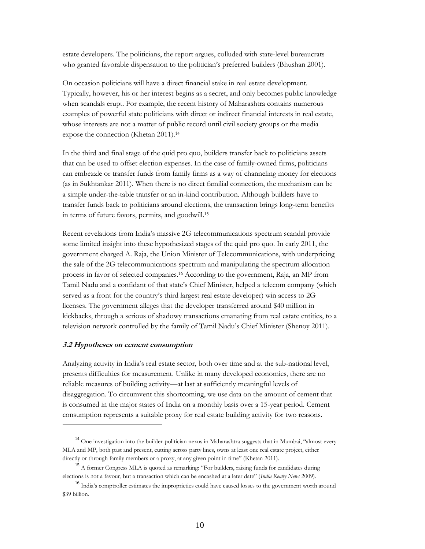estate developers. The politicians, the report argues, colluded with state-level bureaucrats who granted favorable dispensation to the politician's preferred builders (Bhushan 2001).

On occasion politicians will have a direct financial stake in real estate development. Typically, however, his or her interest begins as a secret, and only becomes public knowledge when scandals erupt. For example, the recent history of Maharashtra contains numerous examples of powerful state politicians with direct or indirect financial interests in real estate, whose interests are not a matter of public record until civil society groups or the media expose the connection (Khetan 2011).<sup>14</sup>

In the third and final stage of the quid pro quo, builders transfer back to politicians assets that can be used to offset election expenses. In the case of family-owned firms, politicians can embezzle or transfer funds from family firms as a way of channeling money for elections (as in Sukhtankar 2011). When there is no direct familial connection, the mechanism can be a simple under-the-table transfer or an in-kind contribution. Although builders have to transfer funds back to politicians around elections, the transaction brings long-term benefits in terms of future favors, permits, and goodwill.<sup>15</sup>

Recent revelations from India's massive 2G telecommunications spectrum scandal provide some limited insight into these hypothesized stages of the quid pro quo. In early 2011, the government charged A. Raja, the Union Minister of Telecommunications, with underpricing the sale of the 2G telecommunications spectrum and manipulating the spectrum allocation process in favor of selected companies.<sup>16</sup> According to the government, Raja, an MP from Tamil Nadu and a confidant of that state's Chief Minister, helped a telecom company (which served as a front for the country's third largest real estate developer) win access to 2G licenses. The government alleges that the developer transferred around \$40 million in kickbacks, through a serious of shadowy transactions emanating from real estate entities, to a television network controlled by the family of Tamil Nadu's Chief Minister (Shenoy 2011).

### **3.2 Hypotheses on cement consumption**

 $\ddot{\phantom{a}}$ 

Analyzing activity in India's real estate sector, both over time and at the sub-national level, presents difficulties for measurement. Unlike in many developed economies, there are no reliable measures of building activity—at last at sufficiently meaningful levels of disaggregation. To circumvent this shortcoming, we use data on the amount of cement that is consumed in the major states of India on a monthly basis over a 15-year period. Cement consumption represents a suitable proxy for real estate building activity for two reasons.

 $14$  One investigation into the builder-politician nexus in Maharashtra suggests that in Mumbai, "almost every MLA and MP, both past and present, cutting across party lines, owns at least one real estate project, either directly or through family members or a proxy, at any given point in time" (Khetan 2011).

<sup>&</sup>lt;sup>15</sup> A former Congress MLA is quoted as remarking: "For builders, raising funds for candidates during elections is not a favour, but a transaction which can be encashed at a later date" (*India Realty News* 2009).

<sup>&</sup>lt;sup>16</sup> India's comptroller estimates the improprieties could have caused losses to the government worth around \$39 billion.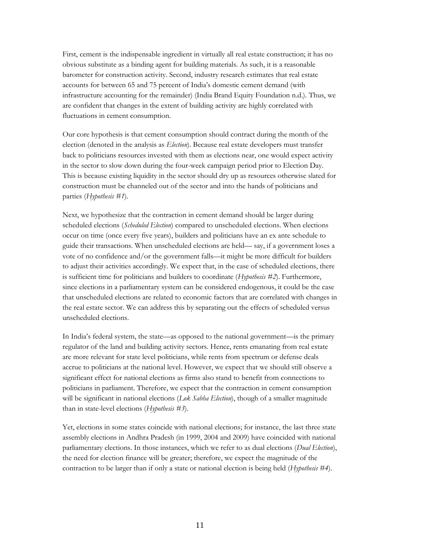First, cement is the indispensable ingredient in virtually all real estate construction; it has no obvious substitute as a binding agent for building materials. As such, it is a reasonable barometer for construction activity. Second, industry research estimates that real estate accounts for between 65 and 75 percent of India's domestic cement demand (with infrastructure accounting for the remainder) (India Brand Equity Foundation n.d.). Thus, we are confident that changes in the extent of building activity are highly correlated with fluctuations in cement consumption.

Our core hypothesis is that cement consumption should contract during the month of the election (denoted in the analysis as *Election*). Because real estate developers must transfer back to politicians resources invested with them as elections near, one would expect activity in the sector to slow down during the four-week campaign period prior to Election Day. This is because existing liquidity in the sector should dry up as resources otherwise slated for construction must be channeled out of the sector and into the hands of politicians and parties (*Hypothesis #1*).

Next, we hypothesize that the contraction in cement demand should be larger during scheduled elections (*Scheduled Election*) compared to unscheduled elections. When elections occur on time (once every five years), builders and politicians have an ex ante schedule to guide their transactions. When unscheduled elections are held— say, if a government loses a vote of no confidence and/or the government falls—it might be more difficult for builders to adjust their activities accordingly. We expect that, in the case of scheduled elections, there is sufficient time for politicians and builders to coordinate (*Hypothesis #2*). Furthermore, since elections in a parliamentary system can be considered endogenous, it could be the case that unscheduled elections are related to economic factors that are correlated with changes in the real estate sector. We can address this by separating out the effects of scheduled versus unscheduled elections.

In India's federal system, the state—as opposed to the national government—is the primary regulator of the land and building activity sectors. Hence, rents emanating from real estate are more relevant for state level politicians, while rents from spectrum or defense deals accrue to politicians at the national level. However, we expect that we should still observe a significant effect for national elections as firms also stand to benefit from connections to politicians in parliament. Therefore, we expect that the contraction in cement consumption will be significant in national elections (*Lok Sabha Election*), though of a smaller magnitude than in state-level elections (*Hypothesis #3*).

Yet, elections in some states coincide with national elections; for instance, the last three state assembly elections in Andhra Pradesh (in 1999, 2004 and 2009) have coincided with national parliamentary elections. In those instances, which we refer to as dual elections (*Dual Election*), the need for election finance will be greater; therefore, we expect the magnitude of the contraction to be larger than if only a state or national election is being held (*Hypothesis #4*).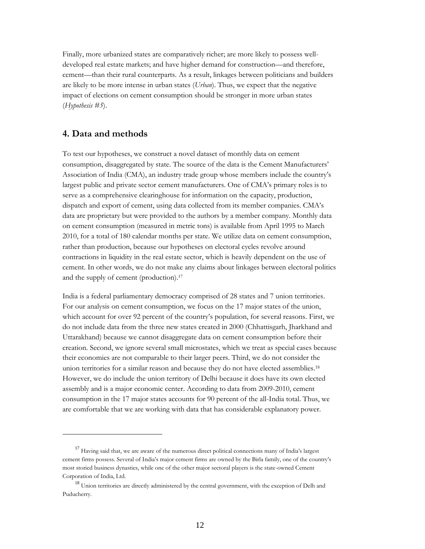Finally, more urbanized states are comparatively richer; are more likely to possess welldeveloped real estate markets; and have higher demand for construction—and therefore, cement—than their rural counterparts. As a result, linkages between politicians and builders are likely to be more intense in urban states (*Urban*). Thus, we expect that the negative impact of elections on cement consumption should be stronger in more urban states (*Hypothesis #5*).

## **4. Data and methods**

 $\overline{a}$ 

To test our hypotheses, we construct a novel dataset of monthly data on cement consumption, disaggregated by state. The source of the data is the Cement Manufacturers' Association of India (CMA), an industry trade group whose members include the country's largest public and private sector cement manufacturers. One of CMA's primary roles is to serve as a comprehensive clearinghouse for information on the capacity, production, dispatch and export of cement, using data collected from its member companies. CMA's data are proprietary but were provided to the authors by a member company. Monthly data on cement consumption (measured in metric tons) is available from April 1995 to March 2010, for a total of 180 calendar months per state. We utilize data on cement consumption, rather than production, because our hypotheses on electoral cycles revolve around contractions in liquidity in the real estate sector, which is heavily dependent on the use of cement. In other words, we do not make any claims about linkages between electoral politics and the supply of cement (production).<sup>17</sup>

India is a federal parliamentary democracy comprised of 28 states and 7 union territories. For our analysis on cement consumption, we focus on the 17 major states of the union, which account for over 92 percent of the country's population, for several reasons. First, we do not include data from the three new states created in 2000 (Chhattisgarh, Jharkhand and Uttarakhand) because we cannot disaggregate data on cement consumption before their creation. Second, we ignore several small microstates, which we treat as special cases because their economies are not comparable to their larger peers. Third, we do not consider the union territories for a similar reason and because they do not have elected assemblies.<sup>18</sup> However, we do include the union territory of Delhi because it does have its own elected assembly and is a major economic center. According to data from 2009-2010, cement consumption in the 17 major states accounts for 90 percent of the all-India total. Thus, we are comfortable that we are working with data that has considerable explanatory power.

<sup>&</sup>lt;sup>17</sup> Having said that, we are aware of the numerous direct political connections many of India's largest cement firms possess. Several of India's major cement firms are owned by the Birla family, one of the country's most storied business dynasties, while one of the other major sectoral players is the state-owned Cement Corporation of India, Ltd.

<sup>&</sup>lt;sup>18</sup> Union territories are directly administered by the central government, with the exception of Delh and Puducherry.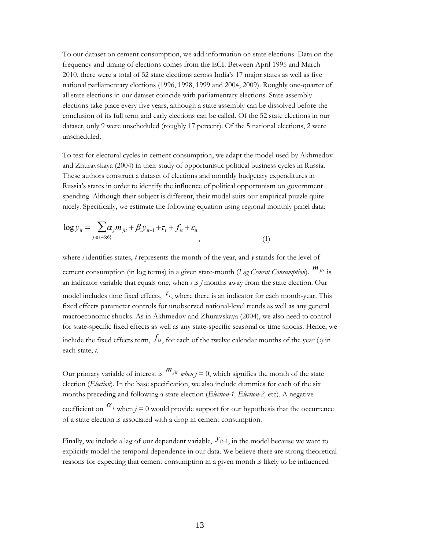To our dataset on cement consumption, we add information on state elections. Data on the frequency and timing of elections comes from the ECI. Between April 1995 and March 2010, there were a total of 52 state elections across India's 17 major states as well as five national parliamentary elections (1996, 1998, 1999 and 2004, 2009). Roughly one-quarter of all state elections in our dataset coincide with parliamentary elections. State assembly elections take place every five years, although a state assembly can be dissolved before the conclusion of its full term and early elections can be called. Of the 52 state elections in our dataset, only 9 were unscheduled (roughly 17 percent). Of the 5 national elections, 2 were unscheduled.

To test for electoral cycles in cement consumption, we adapt the model used by Akhmedov and Zhuravskaya (2004) in their study of opportunistic political business cycles in Russia. These authors construct a dataset of elections and monthly budgetary expenditures in Russia's states in order to identify the influence of political opportunism on government spending. Although their subject is different, their model suits our empirical puzzle quite nicely. Specifically, we estimate the following equation using regional monthly panel data:

$$
\log y_{it} = \sum_{j \in \{-6,6\}} \alpha_j m_{jit} + \beta_1 y_{it-1} + \tau_t + f_{is} + \varepsilon_{it}
$$
\n(1)

where *i* identifies states, *t* represents the month of the year, and *y* stands for the level of cement consumption (in log terms) in a given state-month (*Log Cement Consumption*). *mjit* is fixed effects parameter controls for unobserved national-level trends as well as any general an indicator variable that equals one, when *t* is *j* months away from the state election. Our model includes time fixed effects,  $\tau_t$ , where there is an indicator for each month-year. This for state-specific fixed effects as well as any state-specific seasonal or time shocks. Hence, we macroeconomic shocks. As in Akhmedov and Zhuravskaya (2004), we also need to control include the fixed effects term,  $f_{is}$ , for each of the twelve calendar months of the year (*s*) in each state, *i*.

Our primary variable of interest is  $m_{jit}$  when  $j = 0$ , which signifies the month of the state coefficient on  $\alpha_j$  when  $j = 0$  would provide support for our hypothesis that the occurrence election (*Election*). In the base specification, we also include dummies for each of the six months preceding and following a state election (*Election-1, Election-2,* etc). A negative of a state election is associated with a drop in cement consumption.

Finally, we include a lag of our dependent variable,  $y_{u-1}$ , in the model because we want to explicitly model the temporal dependence in our data. We believe there are strong theoretical reasons for expecting that cement consumption in a given month is likely to be influenced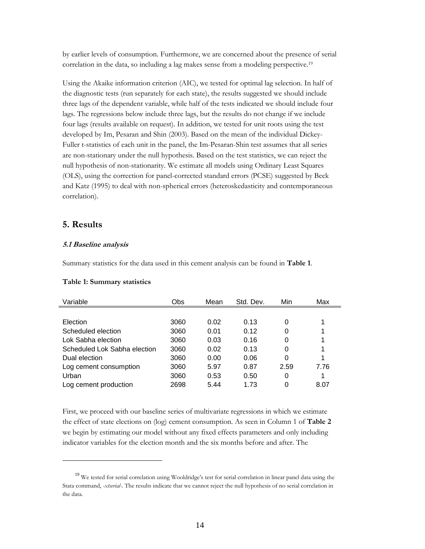by earlier levels of consumption. Furthermore, we are concerned about the presence of serial correlation in the data, so including a lag makes sense from a modeling perspective.<sup>19</sup>

Using the Akaike information criterion (AIC), we tested for optimal lag selection. In half of the diagnostic tests (run separately for each state), the results suggested we should include three lags of the dependent variable, while half of the tests indicated we should include four lags. The regressions below include three lags, but the results do not change if we include four lags (results available on request). In addition, we tested for unit roots using the test developed by Im, Pesaran and Shin (2003). Based on the mean of the individual Dickey-Fuller t-statistics of each unit in the panel, the Im-Pesaran-Shin test assumes that all series are non-stationary under the null hypothesis. Based on the test statistics, we can reject the null hypothesis of non-stationarity. We estimate all models using Ordinary Least Squares (OLS), using the correction for panel-corrected standard errors (PCSE) suggested by Beck and Katz (1995) to deal with non-spherical errors (heteroskedasticity and contemporaneous correlation).

## **5. Results**

 $\ddot{\phantom{a}}$ 

## **5.1 Baseline analysis**

Summary statistics for the data used in this cement analysis can be found in **Table 1**.

| Variable                     | Obs  | Mean | Std. Dev. | Min  | Max  |
|------------------------------|------|------|-----------|------|------|
|                              |      |      |           |      |      |
| Election                     | 3060 | 0.02 | 0.13      | 0    |      |
| Scheduled election           | 3060 | 0.01 | 0.12      | 0    |      |
| Lok Sabha election           | 3060 | 0.03 | 0.16      | 0    |      |
| Scheduled Lok Sabha election | 3060 | 0.02 | 0.13      | 0    |      |
| Dual election                | 3060 | 0.00 | 0.06      | 0    |      |
| Log cement consumption       | 3060 | 5.97 | 0.87      | 2.59 | 7.76 |
| Urban                        | 3060 | 0.53 | 0.50      | 0    |      |
| Log cement production        | 2698 | 5.44 | 1.73      | 0    | 8.07 |

#### **Table 1: Summary statistics**

First, we proceed with our baseline series of multivariate regressions in which we estimate the effect of state elections on (log) cement consumption. As seen in Column 1 of **Table 2** we begin by estimating our model without any fixed effects parameters and only including indicator variables for the election month and the six months before and after. The

<sup>&</sup>lt;sup>19</sup> We tested for serial correlation using Wooldridge's test for serial correlation in linear panel data using the Stata command, *-xtserial-*. The results indicate that we cannot reject the null hypothesis of no serial correlation in the data.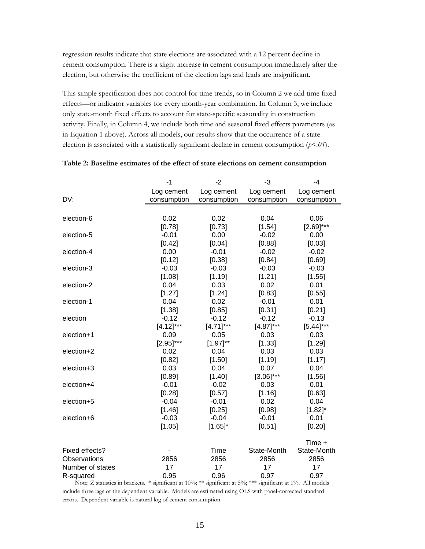regression results indicate that state elections are associated with a 12 percent decline in cement consumption. There is a slight increase in cement consumption immediately after the election, but otherwise the coefficient of the election lags and leads are insignificant.

This simple specification does not control for time trends, so in Column 2 we add time fixed effects—or indicator variables for every month-year combination. In Column 3, we include only state-month fixed effects to account for state-specific seasonality in construction activity. Finally, in Column 4, we include both time and seasonal fixed effects parameters (as in Equation 1 above). Across all models, our results show that the occurrence of a state election is associated with a statistically significant decline in cement consumption (*p<.01*).

|                  | $-1$         | $-2$          | $-3$           | $-4$           |
|------------------|--------------|---------------|----------------|----------------|
|                  | Log cement   | Log cement    | Log cement     | Log cement     |
| DV:              | consumption  | consumption   | consumption    | consumption    |
|                  |              |               |                |                |
| election-6       | 0.02         | 0.02          | 0.04           | 0.06           |
|                  | [0.78]       | [0.73]        | [1.54]         | $[2.69]^{***}$ |
| election-5       | $-0.01$      | 0.00          | $-0.02$        | 0.00           |
|                  | [0.42]       | [0.04]        | [0.88]         | [0.03]         |
| election-4       | 0.00         | $-0.01$       | $-0.02$        | $-0.02$        |
|                  | [0.12]       | [0.38]        | [0.84]         | [0.69]         |
| election-3       | $-0.03$      | $-0.03$       | $-0.03$        | $-0.03$        |
|                  | [1.08]       | [1.19]        | [1.21]         | [1.55]         |
| election-2       | 0.04         | 0.03          | 0.02           | 0.01           |
|                  | [1.27]       | [1.24]        | [0.83]         | [0.55]         |
| election-1       | 0.04         | 0.02          | $-0.01$        | 0.01           |
|                  | [1.38]       | [0.85]        | [0.31]         | [0.21]         |
| election         | $-0.12$      | $-0.12$       | $-0.12$        | $-0.13$        |
|                  | $[4.12]***$  | $[4.71]$ ***  | $[4.87]$ ***   | $[5.44]$ ***   |
| election+1       | 0.09         | 0.05          | 0.03           | 0.03           |
|                  | $[2.95]$ *** | $[1.97]^{**}$ | [1.33]         | [1.29]         |
| election+2       | 0.02         | 0.04          | 0.03           | 0.03           |
|                  | [0.82]       | [1.50]        | [1.19]         | [1.17]         |
| election+3       | 0.03         | 0.04          | 0.07           | 0.04           |
|                  | [0.89]       | [1.40]        | $[3.06]^{***}$ | [1.56]         |
| election+4       | $-0.01$      | $-0.02$       | 0.03           | 0.01           |
|                  | [0.28]       | [0.57]        | [1.16]         | [0.63]         |
| election+5       | $-0.04$      | $-0.01$       | 0.02           | 0.04           |
|                  | [1.46]       | [0.25]        | [0.98]         | $[1.82]$ *     |
| election+6       | $-0.03$      | $-0.04$       | $-0.01$        | 0.01           |
|                  | [1.05]       | $[1.65]$ *    | [0.51]         | [0.20]         |
|                  |              |               |                | Time +         |
| Fixed effects?   |              | Time          | State-Month    | State-Month    |
| Observations     | 2856         | 2856          | 2856           | 2856           |
| Number of states | 17           | 17            | 17             | 17             |
| R-squared        | 0.95         | 0.96          | 0.97           | 0.97           |

### **Table 2: Baseline estimates of the effect of state elections on cement consumption**

Note: Z statistics in brackets. \* significant at 10%; \*\* significant at 5%; \*\*\* significant at 1%. All models include three lags of the dependent variable. Models are estimated using OLS with panel-corrected standard errors. Dependent variable is natural log of cement consumption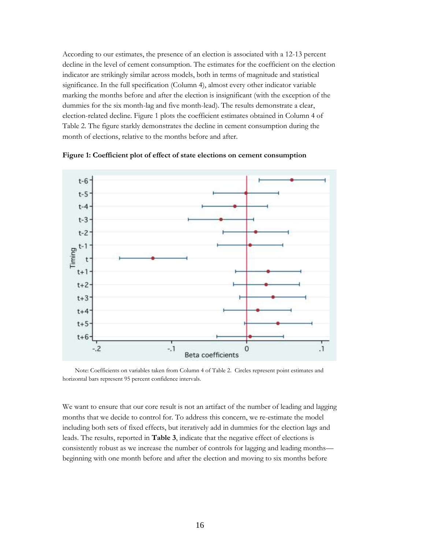According to our estimates, the presence of an election is associated with a 12-13 percent decline in the level of cement consumption. The estimates for the coefficient on the election indicator are strikingly similar across models, both in terms of magnitude and statistical significance. In the full specification (Column 4), almost every other indicator variable marking the months before and after the election is insignificant (with the exception of the dummies for the six month-lag and five month-lead). The results demonstrate a clear, election-related decline. Figure 1 plots the coefficient estimates obtained in Column 4 of Table 2. The figure starkly demonstrates the decline in cement consumption during the month of elections, relative to the months before and after.



**Figure 1: Coefficient plot of effect of state elections on cement consumption**

Note: Coefficients on variables taken from Column 4 of Table 2. Circles represent point estimates and horizontal bars represent 95 percent confidence intervals.

We want to ensure that our core result is not an artifact of the number of leading and lagging months that we decide to control for. To address this concern, we re-estimate the model including both sets of fixed effects, but iteratively add in dummies for the election lags and leads. The results, reported in **Table 3**, indicate that the negative effect of elections is consistently robust as we increase the number of controls for lagging and leading months beginning with one month before and after the election and moving to six months before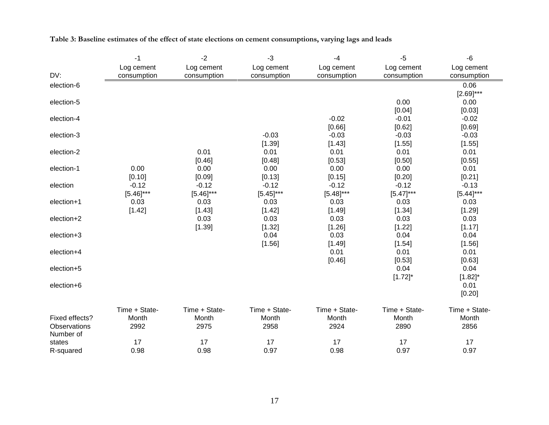|                | $-1$                      | $-2$                      | $-3$                      | $-4$                      | $-5$                      | $-6$                      |
|----------------|---------------------------|---------------------------|---------------------------|---------------------------|---------------------------|---------------------------|
| DV:            | Log cement<br>consumption | Log cement<br>consumption | Log cement<br>consumption | Log cement<br>consumption | Log cement<br>consumption | Log cement<br>consumption |
| election-6     |                           |                           |                           |                           |                           | 0.06                      |
|                |                           |                           |                           |                           |                           | $[2.69]^{***}$            |
| election-5     |                           |                           |                           |                           | 0.00                      | 0.00                      |
|                |                           |                           |                           |                           | [0.04]                    | [0.03]                    |
| election-4     |                           |                           |                           | $-0.02$                   | $-0.01$                   | $-0.02$                   |
|                |                           |                           |                           | [0.66]                    | [0.62]                    | [0.69]                    |
| election-3     |                           |                           | $-0.03$                   | $-0.03$                   | $-0.03$                   | $-0.03$                   |
|                |                           |                           | [1.39]                    | [1.43]                    | [1.55]                    | [1.55]                    |
| election-2     |                           | 0.01                      | 0.01                      | 0.01                      | 0.01                      | 0.01                      |
|                |                           | [0.46]                    | [0.48]                    | [0.53]                    | [0.50]                    | [0.55]                    |
| election-1     | 0.00                      | 0.00                      | 0.00                      | 0.00                      | 0.00                      | 0.01                      |
|                | [0.10]                    | [0.09]                    | [0.13]                    | [0.15]                    | [0.20]                    | [0.21]                    |
| election       | $-0.12$                   | $-0.12$                   | $-0.12$                   | $-0.12$                   | $-0.12$                   | $-0.13$                   |
|                | $[5.46]$ ***              | $[5.46]^{***}$            | $[5.45]$ ***              | $[5.48]$ ***              | $[5.47]$ ***              | $[5.44]$ ***              |
| election+1     | 0.03                      | 0.03                      | 0.03                      | 0.03                      | 0.03                      | 0.03                      |
|                | [1.42]                    | [1.43]                    | [1.42]                    | [1.49]                    | [1.34]                    | [1.29]                    |
| election+2     |                           | 0.03                      | 0.03                      | 0.03                      | 0.03                      | 0.03                      |
|                |                           | [1.39]                    | [1.32]                    | [1.26]                    | [1.22]                    | [1.17]                    |
| election+3     |                           |                           | 0.04                      | 0.03                      | 0.04                      | 0.04                      |
|                |                           |                           | [1.56]                    | [1.49]<br>0.01            | [1.54]                    | [1.56]                    |
| election+4     |                           |                           |                           |                           | 0.01                      | 0.01                      |
| election+5     |                           |                           |                           | [0.46]                    | [0.53]<br>0.04            | [0.63]<br>0.04            |
|                |                           |                           |                           |                           | $[1.72]$ *                | $[1.82]$ *                |
| election+6     |                           |                           |                           |                           |                           | 0.01                      |
|                |                           |                           |                           |                           |                           | [0.20]                    |
|                |                           |                           |                           |                           |                           |                           |
|                | Time + State-             | Time + State-             | Time + State-             | Time + State-             | Time + State-             | Time + State-             |
| Fixed effects? | Month                     | Month                     | Month                     | Month                     | Month                     | Month                     |
| Observations   | 2992                      | 2975                      | 2958                      | 2924                      | 2890                      | 2856                      |
| Number of      |                           |                           |                           |                           |                           |                           |
| states         | 17                        | 17                        | 17                        | 17                        | 17                        | 17                        |
| R-squared      | 0.98                      | 0.98                      | 0.97                      | 0.98                      | 0.97                      | 0.97                      |

## **Table 3: Baseline estimates of the effect of state elections on cement consumptions, varying lags and leads**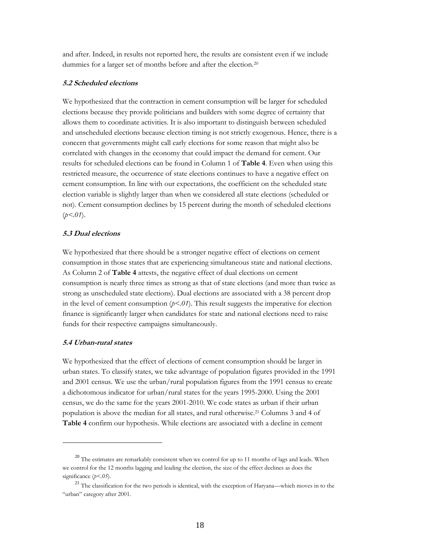and after. Indeed, in results not reported here, the results are consistent even if we include dummies for a larger set of months before and after the election.<sup>20</sup>

#### **5.2 Scheduled elections**

We hypothesized that the contraction in cement consumption will be larger for scheduled elections because they provide politicians and builders with some degree of certainty that allows them to coordinate activities. It is also important to distinguish between scheduled and unscheduled elections because election timing is not strictly exogenous. Hence, there is a concern that governments might call early elections for some reason that might also be correlated with changes in the economy that could impact the demand for cement. Our results for scheduled elections can be found in Column 1 of **Table 4**. Even when using this restricted measure, the occurrence of state elections continues to have a negative effect on cement consumption. In line with our expectations, the coefficient on the scheduled state election variable is slightly larger than when we considered all state elections (scheduled or not). Cement consumption declines by 15 percent during the month of scheduled elections  $(p<.01)$ .

#### **5.3 Dual elections**

We hypothesized that there should be a stronger negative effect of elections on cement consumption in those states that are experiencing simultaneous state and national elections. As Column 2 of **Table 4** attests, the negative effect of dual elections on cement consumption is nearly three times as strong as that of state elections (and more than twice as strong as unscheduled state elections). Dual elections are associated with a 38 percent drop in the level of cement consumption  $(p<0<sub>1</sub>)$ . This result suggests the imperative for election finance is significantly larger when candidates for state and national elections need to raise funds for their respective campaigns simultaneously.

### **5.4 Urban-rural states**

 $\overline{a}$ 

We hypothesized that the effect of elections of cement consumption should be larger in urban states. To classify states, we take advantage of population figures provided in the 1991 and 2001 census. We use the urban/rural population figures from the 1991 census to create a dichotomous indicator for urban/rural states for the years 1995-2000. Using the 2001 census, we do the same for the years 2001-2010. We code states as urban if their urban population is above the median for all states, and rural otherwise.<sup>21</sup> Columns 3 and 4 of **Table 4** confirm our hypothesis. While elections are associated with a decline in cement

<sup>&</sup>lt;sup>20</sup> The estimates are remarkably consistent when we control for up to 11 months of lags and leads. When we control for the 12 months lagging and leading the election, the size of the effect declines as does the significance (*p<.05*).

<sup>&</sup>lt;sup>21</sup> The classification for the two periods is identical, with the exception of Haryana—which moves in to the "urban" category after 2001.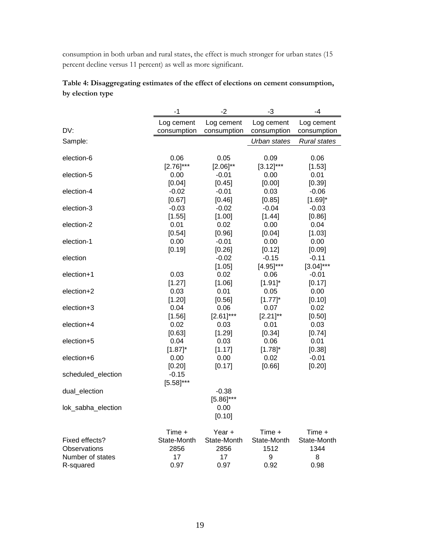consumption in both urban and rural states, the effect is much stronger for urban states (15 percent decline versus 11 percent) as well as more significant.

|                    | $-1$                      | -2                        | -3                        | -4                        |
|--------------------|---------------------------|---------------------------|---------------------------|---------------------------|
| DV:                | Log cement<br>consumption | Log cement<br>consumption | Log cement<br>consumption | Log cement<br>consumption |
| Sample:            |                           |                           | Urban states              | <b>Rural states</b>       |
|                    |                           |                           |                           |                           |
| election-6         | 0.06                      | 0.05                      | 0.09                      | 0.06                      |
|                    | $[2.76]^{***}$            | $[2.06]^{**}$             | $[3.12]$ ***              | [1.53]                    |
| election-5         | 0.00                      | $-0.01$                   | 0.00                      | 0.01                      |
|                    | [0.04]                    | [0.45]                    | [0.00]                    | [0.39]                    |
| election-4         | $-0.02$                   | $-0.01$                   | 0.03                      | $-0.06$                   |
| election-3         | [0.67]<br>$-0.03$         | [0.46]<br>$-0.02$         | [0.85]<br>$-0.04$         | $[1.69]$ *<br>$-0.03$     |
|                    | [1.55]                    | [1.00]                    | [1.44]                    | [0.86]                    |
| election-2         | 0.01                      | 0.02                      | 0.00                      | 0.04                      |
|                    | [0.54]                    | [0.96]                    | [0.04]                    | [1.03]                    |
| election-1         | 0.00                      | $-0.01$                   | 0.00                      | 0.00                      |
|                    | [0.19]                    | [0.26]                    | [0.12]                    | [0.09]                    |
| election           |                           | $-0.02$                   | $-0.15$                   | $-0.11$                   |
|                    |                           | [1.05]                    | $[4.95]$ ***              | $[3.04]$ ***              |
| election+1         | 0.03                      | 0.02                      | 0.06                      | $-0.01$                   |
|                    | [1.27]                    | [1.06]                    | $[1.91]$ *                | [0.17]                    |
| election+2         | 0.03                      | 0.01                      | 0.05                      | 0.00                      |
|                    | [1.20]                    | [0.56]                    | $[1.77]^{*}$              | [0.10]                    |
| election+3         | 0.04                      | 0.06                      | 0.07                      | 0.02                      |
|                    | [1.56]                    | $[2.61]$ ***              | $[2.21]^{**}$             | [0.50]                    |
| election+4         | 0.02                      | 0.03                      | 0.01                      | 0.03                      |
|                    | [0.63]                    | [1.29]                    | [0.34]                    | [0.74]                    |
| election+5         | 0.04                      | 0.03                      | 0.06                      | 0.01                      |
|                    | $[1.87]$ *                | [1.17]                    | $[1.78]^{*}$              | [0.38]                    |
| election+6         | 0.00                      | 0.00                      | 0.02                      | $-0.01$                   |
|                    | [0.20]                    | [0.17]                    | [0.66]                    | [0.20]                    |
| scheduled_election | $-0.15$                   |                           |                           |                           |
|                    | $[5.58]$ ***              |                           |                           |                           |
| dual_election      |                           | $-0.38$                   |                           |                           |
|                    |                           | $[5.86]$ ***              |                           |                           |
| lok_sabha_election |                           | 0.00                      |                           |                           |
|                    |                           | [0.10]                    |                           |                           |
|                    | Time +                    | Year +                    | Time +                    | Time +                    |
| Fixed effects?     | State-Month               | State-Month               | State-Month               | State-Month               |
| Observations       | 2856                      | 2856                      | 1512                      | 1344                      |
| Number of states   | 17                        | 17                        | 9                         | 8                         |
| R-squared          | 0.97                      | 0.97                      | 0.92                      | 0.98                      |

## **Table 4: Disaggregating estimates of the effect of elections on cement consumption, by election type**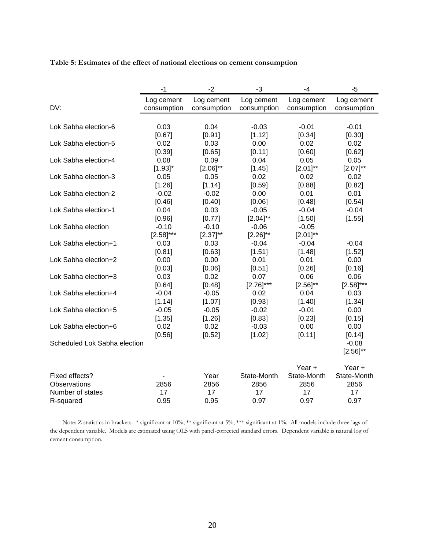**Table 5: Estimates of the effect of national elections on cement consumption**

|                              | -1             | $-2$          | $-3$           | $-4$          | $-5$              |
|------------------------------|----------------|---------------|----------------|---------------|-------------------|
|                              | Log cement     | Log cement    | Log cement     | Log cement    | Log cement        |
| DV:                          | consumption    | consumption   | consumption    | consumption   | consumption       |
|                              |                |               |                |               |                   |
| Lok Sabha election-6         | 0.03           | 0.04          | $-0.03$        | $-0.01$       | $-0.01$           |
|                              | [0.67]         | [0.91]        | [1.12]         | [0.34]        | [0.30]            |
| Lok Sabha election-5         | 0.02           | 0.03          | 0.00           | 0.02          | 0.02              |
|                              | [0.39]         | [0.65]        | [0.11]         | [0.60]        | [0.62]            |
| Lok Sabha election-4         | 0.08           | 0.09          | 0.04           | 0.05          | 0.05              |
|                              | $[1.93]$ *     | $[2.06]^{**}$ | [1.45]         | $[2.01]^{**}$ | $[2.07]^{**}$     |
| Lok Sabha election-3         | 0.05           | 0.05          | 0.02           | 0.02          | 0.02              |
|                              | [1.26]         | [1.14]        | [0.59]         | [0.88]        | [0.82]            |
| Lok Sabha election-2         | $-0.02$        | $-0.02$       | 0.00           | 0.01          | 0.01              |
|                              | [0.46]         | [0.40]        | [0.06]         | [0.48]        | [0.54]            |
| Lok Sabha election-1         | 0.04           | 0.03          | $-0.05$        | $-0.04$       | $-0.04$           |
|                              | [0.96]         | [0.77]        | $[2.04]^{**}$  | [1.50]        | [1.55]            |
| Lok Sabha election           | $-0.10$        | $-0.10$       | $-0.06$        | $-0.05$       |                   |
|                              | $[2.58]^{***}$ | $[2.37]^{**}$ | $[2.26]^{**}$  | $[2.01]^{**}$ |                   |
| Lok Sabha election+1         | 0.03           | 0.03          | $-0.04$        | $-0.04$       | $-0.04$           |
|                              | [0.81]         | [0.63]        | [1.51]         | [1.48]        | [1.52]            |
| Lok Sabha election+2         | 0.00           | 0.00          | 0.01           | 0.01          | 0.00              |
|                              | [0.03]         | [0.06]        | [0.51]         | [0.26]        | [0.16]            |
| Lok Sabha election+3         | 0.03           | 0.02          | 0.07           | 0.06          | 0.06              |
|                              | [0.64]         | [0.48]        | $[2.76]^{***}$ | $[2.56]^{**}$ | $[2.58]^{***}$    |
| Lok Sabha election+4         | $-0.04$        | $-0.05$       | 0.02           | 0.04          | 0.03              |
|                              | [1.14]         | [1.07]        | [0.93]         | [1.40]        | [1.34]            |
| Lok Sabha election+5         | $-0.05$        | $-0.05$       | $-0.02$        | $-0.01$       | 0.00              |
|                              | [1.35]         | [1.26]        | [0.83]         | [0.23]        | [0.15]            |
| Lok Sabha election+6         | 0.02           | 0.02          | $-0.03$        | 0.00          | 0.00              |
| Scheduled Lok Sabha election | [0.56]         | [0.52]        | [1.02]         | [0.11]        | [0.14]<br>$-0.08$ |
|                              |                |               |                |               | $[2.56]^{**}$     |
|                              |                |               |                |               |                   |
|                              |                |               |                | Year +        | Year $+$          |
| Fixed effects?               |                | Year          | State-Month    | State-Month   | State-Month       |
| Observations                 | 2856           | 2856          | 2856           | 2856          | 2856              |
| Number of states             | 17             | 17            | 17             | 17            | 17                |
| R-squared                    | 0.95           | 0.95          | 0.97           | 0.97          | 0.97              |

Note: Z statistics in brackets. \* significant at 10%; \*\* significant at 5%; \*\*\* significant at 1%. All models include three lags of the dependent variable. Models are estimated using OLS with panel-corrected standard errors. Dependent variable is natural log of cement consumption.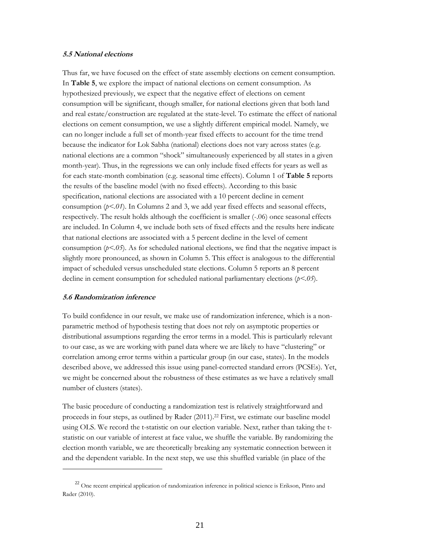### **5.5 National elections**

Thus far, we have focused on the effect of state assembly elections on cement consumption. In **Table 5**, we explore the impact of national elections on cement consumption. As hypothesized previously, we expect that the negative effect of elections on cement consumption will be significant, though smaller, for national elections given that both land and real estate/construction are regulated at the state-level. To estimate the effect of national elections on cement consumption, we use a slightly different empirical model. Namely, we can no longer include a full set of month-year fixed effects to account for the time trend because the indicator for Lok Sabha (national) elections does not vary across states (e.g. national elections are a common "shock" simultaneously experienced by all states in a given month-year). Thus, in the regressions we can only include fixed effects for years as well as for each state-month combination (e.g. seasonal time effects). Column 1 of **Table 5** reports the results of the baseline model (with no fixed effects). According to this basic specification, national elections are associated with a 10 percent decline in cement consumption  $(p<0.1)$ . In Columns 2 and 3, we add year fixed effects and seasonal effects, respectively. The result holds although the coefficient is smaller (-.06) once seasonal effects are included. In Column 4, we include both sets of fixed effects and the results here indicate that national elections are associated with a 5 percent decline in the level of cement consumption  $(p<.05)$ . As for scheduled national elections, we find that the negative impact is slightly more pronounced, as shown in Column 5. This effect is analogous to the differential impact of scheduled versus unscheduled state elections. Column 5 reports an 8 percent decline in cement consumption for scheduled national parliamentary elections (*p<.05*).

### **5.6 Randomization inference**

 $\overline{a}$ 

To build confidence in our result, we make use of randomization inference, which is a nonparametric method of hypothesis testing that does not rely on asymptotic properties or distributional assumptions regarding the error terms in a model. This is particularly relevant to our case, as we are working with panel data where we are likely to have "clustering" or correlation among error terms within a particular group (in our case, states). In the models described above, we addressed this issue using panel-corrected standard errors (PCSEs). Yet, we might be concerned about the robustness of these estimates as we have a relatively small number of clusters (states).

The basic procedure of conducting a randomization test is relatively straightforward and proceeds in four steps, as outlined by Rader (2011).<sup>22</sup> First, we estimate our baseline model using OLS. We record the t-statistic on our election variable. Next, rather than taking the tstatistic on our variable of interest at face value, we shuffle the variable. By randomizing the election month variable, we are theoretically breaking any systematic connection between it and the dependent variable. In the next step, we use this shuffled variable (in place of the

<sup>&</sup>lt;sup>22</sup> One recent empirical application of randomization inference in political science is Erikson, Pinto and Rader (2010).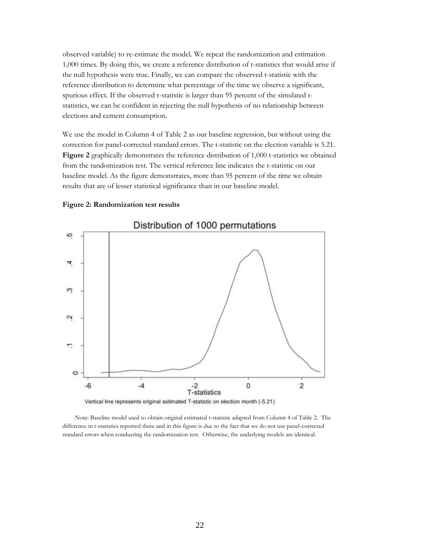observed variable) to re-estimate the model. We repeat the randomization and estimation 1,000 times. By doing this, we create a reference distribution of t-statistics that would arise if the null hypothesis were true. Finally, we can compare the observed t-statistic with the reference distribution to determine what percentage of the time we observe a significant, spurious effect. If the observed t-statistic is larger than 95 percent of the simulated tstatistics, we can be confident in rejecting the null hypothesis of no relationship between elections and cement consumption.

We use the model in Column 4 of Table 2 as our baseline regression, but without using the correction for panel-corrected standard errors. The t-statistic on the election variable is 5.21. **Figure 2** graphically demonstrates the reference distribution of 1,000 t-statistics we obtained from the randomization test. The vertical reference line indicates the t-statistic on our baseline model. As the figure demonstrates, more than 95 percent of the time we obtain results that are of lesser statistical significance than in our baseline model.

#### **Figure 2: Randomization test results**



Note: Baseline model used to obtain original estimated t-statistic adapted from Column 4 of Table 2. The difference in t-statistics reported there and in this figure is due to the fact that we do not use panel-corrected standard errors when conducting the randomization test. Otherwise, the underlying models are identical.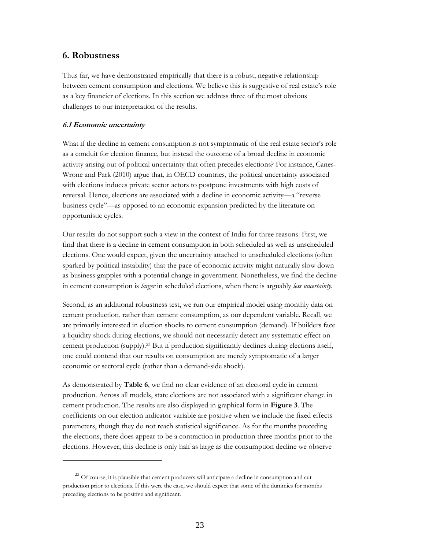## **6. Robustness**

Thus far, we have demonstrated empirically that there is a robust, negative relationship between cement consumption and elections. We believe this is suggestive of real estate's role as a key financier of elections. In this section we address three of the most obvious challenges to our interpretation of the results.

### **6.1 Economic uncertainty**

 $\overline{a}$ 

What if the decline in cement consumption is not symptomatic of the real estate sector's role as a conduit for election finance, but instead the outcome of a broad decline in economic activity arising out of political uncertainty that often precedes elections? For instance, Canes-Wrone and Park (2010) argue that, in OECD countries, the political uncertainty associated with elections induces private sector actors to postpone investments with high costs of reversal. Hence, elections are associated with a decline in economic activity—a "reverse business cycle"—as opposed to an economic expansion predicted by the literature on opportunistic cycles.

Our results do not support such a view in the context of India for three reasons. First, we find that there is a decline in cement consumption in both scheduled as well as unscheduled elections. One would expect, given the uncertainty attached to unscheduled elections (often sparked by political instability) that the pace of economic activity might naturally slow down as business grapples with a potential change in government. Nonetheless, we find the decline in cement consumption is *larger* in scheduled elections, when there is arguably *less uncertainty*.

Second, as an additional robustness test, we run our empirical model using monthly data on cement production, rather than cement consumption, as our dependent variable. Recall, we are primarily interested in election shocks to cement consumption (demand). If builders face a liquidity shock during elections, we should not necessarily detect any systematic effect on cement production (supply).<sup>23</sup> But if production significantly declines during elections itself, one could contend that our results on consumption are merely symptomatic of a larger economic or sectoral cycle (rather than a demand-side shock).

As demonstrated by **Table 6**, we find no clear evidence of an electoral cycle in cement production. Across all models, state elections are not associated with a significant change in cement production. The results are also displayed in graphical form in **Figure 3**. The coefficients on our election indicator variable are positive when we include the fixed effects parameters, though they do not reach statistical significance. As for the months preceding the elections, there does appear to be a contraction in production three months prior to the elections. However, this decline is only half as large as the consumption decline we observe

<sup>&</sup>lt;sup>23</sup> Of course, it is plausible that cement producers will anticipate a decline in consumption and cut production prior to elections. If this were the case, we should expect that some of the dummies for months preceding elections to be positive and significant.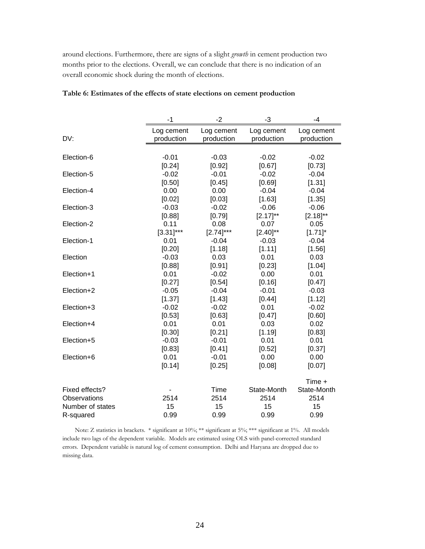around elections. Furthermore, there are signs of a slight *growth* in cement production two months prior to the elections. Overall, we can conclude that there is no indication of an overall economic shock during the month of elections.

|                  | -1                       | $-2$                     | -3                       | -4                       |
|------------------|--------------------------|--------------------------|--------------------------|--------------------------|
| DV:              | Log cement<br>production | Log cement<br>production | Log cement<br>production | Log cement<br>production |
|                  |                          |                          |                          |                          |
| Election-6       | $-0.01$                  | $-0.03$                  | $-0.02$                  | $-0.02$                  |
|                  | [0.24]                   | [0.92]                   | [0.67]                   | [0.73]                   |
| Election-5       | $-0.02$                  | $-0.01$                  | $-0.02$                  | $-0.04$                  |
|                  | [0.50]                   | [0.45]                   | [0.69]                   | [1.31]                   |
| Election-4       | 0.00                     | 0.00                     | $-0.04$                  | $-0.04$                  |
|                  | [0.02]                   | [0.03]                   | [1.63]                   | [1.35]                   |
| Election-3       | $-0.03$                  | $-0.02$                  | $-0.06$                  | $-0.06$                  |
|                  | [0.88]                   | [0.79]                   | $[2.17]^{**}$            | $[2.18]^{**}$            |
| Election-2       | 0.11                     | 0.08                     | 0.07                     | 0.05                     |
|                  | $[3.31]$ ***             | $[2.74]^{***}$           | $[2.40]^{**}$            | $[1.71]$ *               |
| Election-1       | 0.01                     | $-0.04$                  | $-0.03$                  | $-0.04$                  |
|                  | [0.20]                   | [1.18]                   | [1.11]                   | [1.56]                   |
| Election         | $-0.03$                  | 0.03                     | 0.01                     | 0.03                     |
|                  | [0.88]                   | [0.91]                   | [0.23]                   | [1.04]                   |
| Election+1       | 0.01                     | $-0.02$                  | 0.00                     | 0.01                     |
|                  | [0.27]                   | [0.54]                   | [0.16]                   | [0.47]                   |
| Election+2       | $-0.05$                  | $-0.04$                  | $-0.01$                  | $-0.03$                  |
|                  | [1.37]                   | [1.43]                   | [0.44]                   | [1.12]                   |
| Election+3       | $-0.02$                  | $-0.02$                  | 0.01                     | $-0.02$                  |
| Election+4       | [0.53]<br>0.01           | [0.63]<br>0.01           | [0.47]<br>0.03           | [0.60]<br>0.02           |
|                  | [0.30]                   | [0.21]                   | [1.19]                   | [0.83]                   |
| Election+5       | $-0.03$                  | $-0.01$                  | 0.01                     | 0.01                     |
|                  | [0.83]                   | [0.41]                   | [0.52]                   | [0.37]                   |
| Election+6       | 0.01                     | $-0.01$                  | 0.00                     | 0.00                     |
|                  | [0.14]                   | [0.25]                   | [0.08]                   | [0.07]                   |
|                  |                          |                          |                          |                          |
|                  |                          |                          |                          | Time +                   |
| Fixed effects?   |                          | Time                     | State-Month              | State-Month              |
| Observations     | 2514                     | 2514                     | 2514                     | 2514                     |
| Number of states | 15                       | 15                       | 15                       | 15                       |
| R-squared        | 0.99                     | 0.99                     | 0.99                     | 0.99                     |

#### **Table 6: Estimates of the effects of state elections on cement production**

Note: Z statistics in brackets. \* significant at 10%; \*\* significant at 5%; \*\*\* significant at 1%. All models include two lags of the dependent variable. Models are estimated using OLS with panel-corrected standard errors. Dependent variable is natural log of cement consumption. Delhi and Haryana are dropped due to missing data.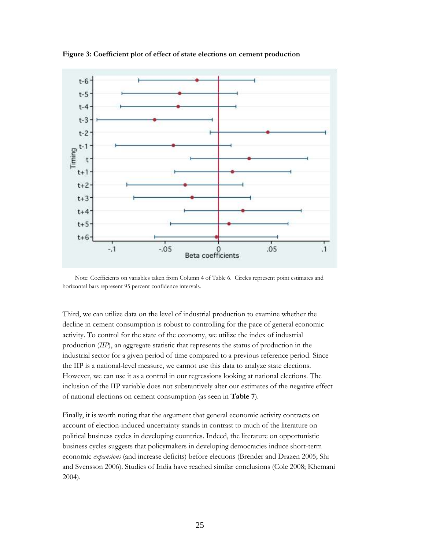

**Figure 3: Coefficient plot of effect of state elections on cement production**

Note: Coefficients on variables taken from Column 4 of Table 6. Circles represent point estimates and horizontal bars represent 95 percent confidence intervals.

Third, we can utilize data on the level of industrial production to examine whether the decline in cement consumption is robust to controlling for the pace of general economic activity. To control for the state of the economy, we utilize the index of industrial production (*IIP*), an aggregate statistic that represents the status of production in the industrial sector for a given period of time compared to a previous reference period. Since the IIP is a national-level measure, we cannot use this data to analyze state elections. However, we can use it as a control in our regressions looking at national elections. The inclusion of the IIP variable does not substantively alter our estimates of the negative effect of national elections on cement consumption (as seen in **Table 7**).

Finally, it is worth noting that the argument that general economic activity contracts on account of election-induced uncertainty stands in contrast to much of the literature on political business cycles in developing countries. Indeed, the literature on opportunistic business cycles suggests that policymakers in developing democracies induce short-term economic *expansions* (and increase deficits) before elections (Brender and Drazen 2005; Shi and Svensson 2006). Studies of India have reached similar conclusions (Cole 2008; Khemani 2004).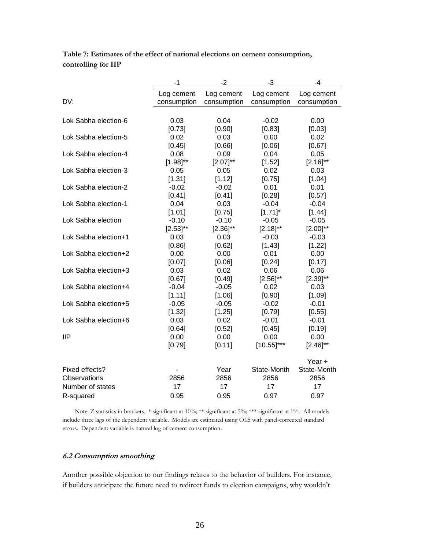**Table 7: Estimates of the effect of national elections on cement consumption, controlling for IIP**

|                      | -1            | $-2$          | -3            | -4            |
|----------------------|---------------|---------------|---------------|---------------|
|                      | Log cement    | Log cement    | Log cement    | Log cement    |
| DV:                  | consumption   | consumption   | consumption   | consumption   |
|                      |               |               |               |               |
| Lok Sabha election-6 | 0.03          | 0.04          | $-0.02$       | 0.00          |
|                      | [0.73]        | [0.90]        | [0.83]        | [0.03]        |
| Lok Sabha election-5 | 0.02          | 0.03          | 0.00          | 0.02          |
|                      | [0.45]        | [0.66]        | [0.06]        | [0.67]        |
| Lok Sabha election-4 | 0.08          | 0.09          | 0.04          | 0.05          |
|                      | $[1.98]^{**}$ | $[2.07]^{**}$ | [1.52]        | $[2.16]^{**}$ |
| Lok Sabha election-3 | 0.05          | 0.05          | 0.02          | 0.03          |
|                      | [1.31]        | [1.12]        | [0.75]        | [1.04]        |
| Lok Sabha election-2 | $-0.02$       | $-0.02$       | 0.01          | 0.01          |
|                      | [0.41]        | [0.41]        | [0.28]        | [0.57]        |
| Lok Sabha election-1 | 0.04          | 0.03          | $-0.04$       | $-0.04$       |
|                      | [1.01]        | [0.75]        | $[1.71]$ *    | [1.44]        |
| Lok Sabha election   | $-0.10$       | $-0.10$       | $-0.05$       | $-0.05$       |
|                      | $[2.53]^{**}$ | $[2.36]^{**}$ | $[2.18]^{**}$ | $[2.00]^{**}$ |
| Lok Sabha election+1 | 0.03          | 0.03          | $-0.03$       | $-0.03$       |
|                      | [0.86]        | [0.62]        | [1.43]        | [1.22]        |
| Lok Sabha election+2 | 0.00          | 0.00          | 0.01          | 0.00          |
|                      | [0.07]        | [0.06]        | [0.24]        | [0.17]        |
| Lok Sabha election+3 | 0.03          | 0.02          | 0.06          | 0.06          |
|                      | [0.67]        | [0.49]        | $[2.56]^{**}$ | $[2.39]^{**}$ |
| Lok Sabha election+4 | $-0.04$       | $-0.05$       | 0.02          | 0.03          |
|                      | [1.11]        | [1.06]        | [0.90]        | [1.09]        |
| Lok Sabha election+5 | $-0.05$       | $-0.05$       | $-0.02$       | $-0.01$       |
|                      | [1.32]        | [1.25]        | [0.79]        | [0.55]        |
| Lok Sabha election+6 | 0.03          | 0.02          | $-0.01$       | $-0.01$       |
|                      | [0.64]        | [0.52]        | [0.45]        | [0.19]        |
| <b>IIP</b>           | 0.00          | 0.00          | 0.00          | 0.00          |
|                      | [0.79]        | [0.11]        | $[10.55]$ *** | $[2.46]^{**}$ |
|                      |               |               |               | Year +        |
| Fixed effects?       |               | Year          | State-Month   | State-Month   |
| Observations         | 2856          | 2856          | 2856          | 2856          |
| Number of states     | 17            | 17            | 17            | 17            |
| R-squared            | 0.95          | 0.95          | 0.97          | 0.97          |
|                      |               |               |               |               |

Note: Z statistics in brackets. \* significant at 10%; \*\* significant at 5%; \*\*\* significant at 1%. All models include three lags of the dependent variable. Models are estimated using OLS with panel-corrected standard errors. Dependent variable is natural log of cement consumption.

### **6.2 Consumption smoothing**

Another possible objection to our findings relates to the behavior of builders. For instance, if builders anticipate the future need to redirect funds to election campaigns, why wouldn't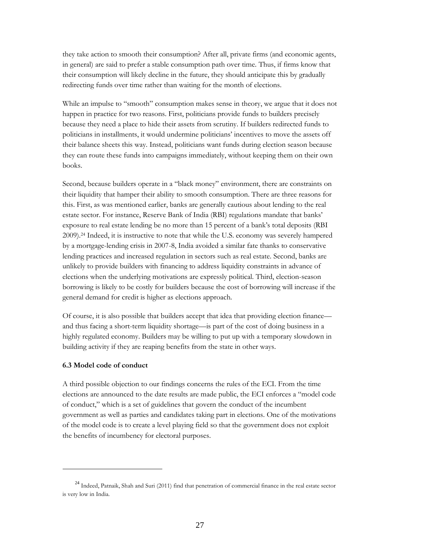they take action to smooth their consumption? After all, private firms (and economic agents, in general) are said to prefer a stable consumption path over time. Thus, if firms know that their consumption will likely decline in the future, they should anticipate this by gradually redirecting funds over time rather than waiting for the month of elections.

While an impulse to "smooth" consumption makes sense in theory, we argue that it does not happen in practice for two reasons. First, politicians provide funds to builders precisely because they need a place to hide their assets from scrutiny. If builders redirected funds to politicians in installments, it would undermine politicians' incentives to move the assets off their balance sheets this way. Instead, politicians want funds during election season because they can route these funds into campaigns immediately, without keeping them on their own books.

Second, because builders operate in a "black money" environment, there are constraints on their liquidity that hamper their ability to smooth consumption. There are three reasons for this. First, as was mentioned earlier, banks are generally cautious about lending to the real estate sector. For instance, Reserve Bank of India (RBI) regulations mandate that banks' exposure to real estate lending be no more than 15 percent of a bank's total deposits (RBI 2009).<sup>24</sup> Indeed, it is instructive to note that while the U.S. economy was severely hampered by a mortgage-lending crisis in 2007-8, India avoided a similar fate thanks to conservative lending practices and increased regulation in sectors such as real estate. Second, banks are unlikely to provide builders with financing to address liquidity constraints in advance of elections when the underlying motivations are expressly political. Third, election-season borrowing is likely to be costly for builders because the cost of borrowing will increase if the general demand for credit is higher as elections approach.

Of course, it is also possible that builders accept that idea that providing election finance and thus facing a short-term liquidity shortage—is part of the cost of doing business in a highly regulated economy. Builders may be willing to put up with a temporary slowdown in building activity if they are reaping benefits from the state in other ways.

### **6.3 Model code of conduct**

 $\overline{a}$ 

A third possible objection to our findings concerns the rules of the ECI. From the time elections are announced to the date results are made public, the ECI enforces a "model code of conduct," which is a set of guidelines that govern the conduct of the incumbent government as well as parties and candidates taking part in elections. One of the motivations of the model code is to create a level playing field so that the government does not exploit the benefits of incumbency for electoral purposes.

<sup>24</sup> Indeed, Patnaik, Shah and Suri (2011) find that penetration of commercial finance in the real estate sector is very low in India.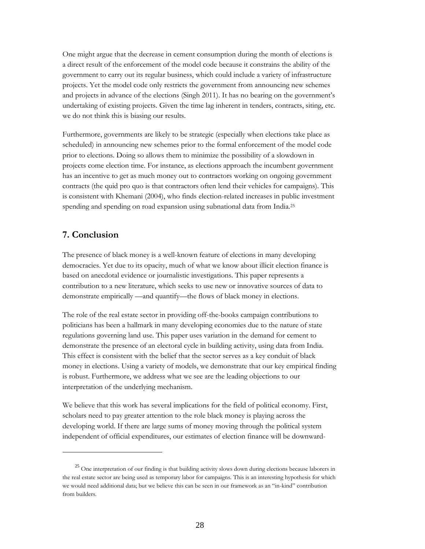One might argue that the decrease in cement consumption during the month of elections is a direct result of the enforcement of the model code because it constrains the ability of the government to carry out its regular business, which could include a variety of infrastructure projects. Yet the model code only restricts the government from announcing new schemes and projects in advance of the elections (Singh 2011). It has no bearing on the government's undertaking of existing projects. Given the time lag inherent in tenders, contracts, siting, etc. we do not think this is biasing our results.

Furthermore, governments are likely to be strategic (especially when elections take place as scheduled) in announcing new schemes prior to the formal enforcement of the model code prior to elections. Doing so allows them to minimize the possibility of a slowdown in projects come election time. For instance, as elections approach the incumbent government has an incentive to get as much money out to contractors working on ongoing government contracts (the quid pro quo is that contractors often lend their vehicles for campaigns). This is consistent with Khemani (2004), who finds election-related increases in public investment spending and spending on road expansion using subnational data from India.<sup>25</sup>

## **7. Conclusion**

 $\overline{a}$ 

The presence of black money is a well-known feature of elections in many developing democracies. Yet due to its opacity, much of what we know about illicit election finance is based on anecdotal evidence or journalistic investigations. This paper represents a contribution to a new literature, which seeks to use new or innovative sources of data to demonstrate empirically —and quantify—the flows of black money in elections.

The role of the real estate sector in providing off-the-books campaign contributions to politicians has been a hallmark in many developing economies due to the nature of state regulations governing land use. This paper uses variation in the demand for cement to demonstrate the presence of an electoral cycle in building activity, using data from India. This effect is consistent with the belief that the sector serves as a key conduit of black money in elections. Using a variety of models, we demonstrate that our key empirical finding is robust. Furthermore, we address what we see are the leading objections to our interpretation of the underlying mechanism.

We believe that this work has several implications for the field of political economy. First, scholars need to pay greater attention to the role black money is playing across the developing world. If there are large sums of money moving through the political system independent of official expenditures, our estimates of election finance will be downward-

<sup>&</sup>lt;sup>25</sup> One interpretation of our finding is that building activity slows down during elections because laborers in the real estate sector are being used as temporary labor for campaigns. This is an interesting hypothesis for which we would need additional data; but we believe this can be seen in our framework as an "in-kind" contribution from builders.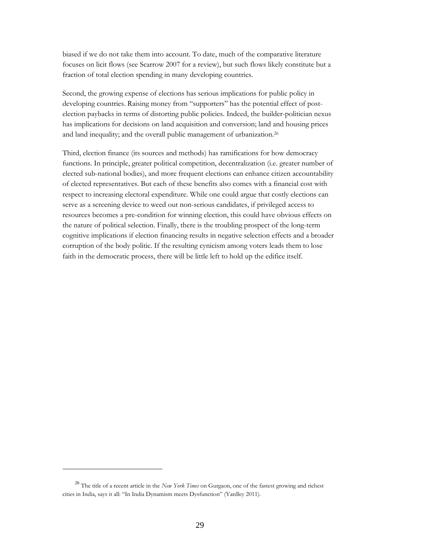biased if we do not take them into account. To date, much of the comparative literature focuses on licit flows (see Scarrow 2007 for a review), but such flows likely constitute but a fraction of total election spending in many developing countries.

Second, the growing expense of elections has serious implications for public policy in developing countries. Raising money from "supporters" has the potential effect of postelection paybacks in terms of distorting public policies. Indeed, the builder-politician nexus has implications for decisions on land acquisition and conversion; land and housing prices and land inequality; and the overall public management of urbanization.<sup>26</sup>

Third, election finance (its sources and methods) has ramifications for how democracy functions. In principle, greater political competition, decentralization (i.e. greater number of elected sub-national bodies), and more frequent elections can enhance citizen accountability of elected representatives. But each of these benefits also comes with a financial cost with respect to increasing electoral expenditure. While one could argue that costly elections can serve as a screening device to weed out non-serious candidates, if privileged access to resources becomes a pre-condition for winning election, this could have obvious effects on the nature of political selection. Finally, there is the troubling prospect of the long-term cognitive implications if election financing results in negative selection effects and a broader corruption of the body politic. If the resulting cynicism among voters leads them to lose faith in the democratic process, there will be little left to hold up the edifice itself.

 $\overline{a}$ 

<sup>26</sup> The title of a recent article in the *New York Times* on Gurgaon, one of the fastest growing and richest cities in India, says it all: "In India Dynamism meets Dysfunction" (Yardley 2011).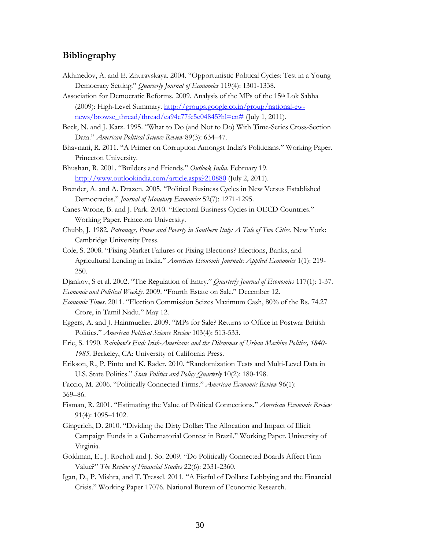## **Bibliography**

- Akhmedov, A. and E. Zhuravskaya. 2004. "Opportunistic Political Cycles: Test in a Young Democracy Setting." *Quarterly Journal of Economics* 119(4): 1301-1338.
- Association for Democratic Reforms. 2009. Analysis of the MPs of the 15th Lok Sabha (2009): High-Level Summary. [http://groups.google.co.in/group/national-ew](http://groups.google.co.in/group/national-ew-news/browse_thread/thread/ea94c77fc5e04845?hl=en)[news/browse\\_thread/thread/ea94c77fc5e04845?hl=en#](http://groups.google.co.in/group/national-ew-news/browse_thread/thread/ea94c77fc5e04845?hl=en) (July 1, 2011).

Beck, N. and J. Katz. 1995. "What to Do (and Not to Do) With Time-Series Cross-Section Data." *American Political Science Review* 89(3): 634–47.

- Bhavnani, R. 2011. "A Primer on Corruption Amongst India's Politicians." Working Paper. Princeton University.
- Bhushan, R. 2001. "Builders and Friends." *Outlook India*. February 19. <http://www.outlookindia.com/article.aspx?210880> (July 2, 2011).
- Brender, A. and A. Drazen. 2005. "Political Business Cycles in New Versus Established Democracies." *Journal of Monetary Economics* 52(7): 1271-1295.
- Canes-Wrone, B. and J. Park. 2010. "Electoral Business Cycles in OECD Countries." Working Paper. Princeton University.
- Chubb, J. 1982. *Patronage, Power and Poverty in Southern Italy: A Tale of Two Cities*. New York: Cambridge University Press.
- Cole, S. 2008. "Fixing Market Failures or Fixing Elections? Elections, Banks, and Agricultural Lending in India." *American Economic Journals: Applied Economics* 1(1): 219- 250.
- Djankov, S et al. 2002. "The Regulation of Entry." *Quarterly Journal of Economics* 117(1): 1-37. *Economic and Political Weekly*. 2009. "Fourth Estate on Sale." December 12.
- *Economic Times*. 2011. "Election Commission Seizes Maximum Cash, 80% of the Rs. 74.27 Crore, in Tamil Nadu." May 12.
- Eggers, A. and J. Hainmueller. 2009. "MPs for Sale? Returns to Office in Postwar British Politics." *American Political Science Review* 103(4): 513-533.
- Erie, S. 1990. *Rainbow's End: Irish-Americans and the Dilemmas of Urban Machine Politics, 1840- 1985*. Berkeley, CA: University of California Press.
- Erikson, R., P. Pinto and K. Rader. 2010. "Randomization Tests and Multi-Level Data in U.S. State Politics." *State Politics and Policy Quarterly* 10(2): 180-198.

Faccio, M. 2006. "Politically Connected Firms." *American Economic Review* 96(1): 369–86.

- Fisman, R. 2001. "Estimating the Value of Political Connections." *American Economic Review* 91(4): 1095–1102.
- Gingerich, D. 2010. "Dividing the Dirty Dollar: The Allocation and Impact of Illicit Campaign Funds in a Gubernatorial Contest in Brazil." Working Paper. University of Virginia.
- Goldman, E., J. Rocholl and J. So. 2009. "Do Politically Connected Boards Affect Firm Value?" *The Review of Financial Studies* 22(6): 2331-2360.
- Igan, D., P. Mishra, and T. Tressel. 2011. "A Fistful of Dollars: Lobbying and the Financial Crisis." Working Paper 17076. National Bureau of Economic Research.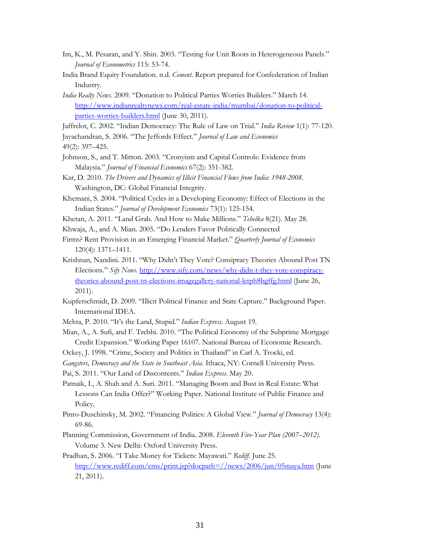- Im, K., M. Pesaran, and Y. Shin. 2003. "Testing for Unit Roots in Heterogeneous Panels." *Journal of Econometrics* 115: 53-74.
- India Brand Equity Foundation. n.d. *Cement*. Report prepared for Confederation of Indian Industry.
- *India Realty News*. 2009. "Donation to Political Parties Worries Builders." March 14. [http://www.indianrealtynews.com/real-estate-india/mumbai/donation-to-political](http://www.indianrealtynews.com/real-estate-india/mumbai/donation-to-political-parties-worries-builders.html)[parties-worries-builders.html](http://www.indianrealtynews.com/real-estate-india/mumbai/donation-to-political-parties-worries-builders.html) (June 30, 2011).
- Jaffrelot, C. 2002. "Indian Democracy: The Rule of Law on Trial." *India Review* 1(1): 77-120.

Jayachandran, S. 2006. "The Jeffords Effect." *Journal of Law and Economics* 49(2): 397–425.

- Johnson, S., and T. Mitton. 2003. "Cronyism and Capital Controls: Evidence from Malaysia." *Journal of Financial Economics* 67(2): 351-382.
- Kar, D. 2010. *The Drivers and Dynamics of Illicit Financial Flows from India: 1948-2008*. Washington, DC: Global Financial Integrity.
- Khemani, S. 2004. "Political Cycles in a Developing Economy: Effect of Elections in the Indian States." *Journal of Development Economics* 73(1): 125-154.
- Khetan, A. 2011. "Land Grab. And How to Make Millions." *Tehelka* 8(21). May 28.
- Khwaja, A., and A. Mian. 2005. "Do Lenders Favor Politically Connected
- Firms? Rent Provision in an Emerging Financial Market." *Quarterly Journal of Economics* 120(4): 1371–1411.
- Krishnan, Nandini. 2011. "Why Didn't They Vote? Consipracy Theories Abound Post TN Elections." *Sify News*. [http://www.sify.com/news/why-didn-t-they-vote-conspiracy](http://www.sify.com/news/why-didn-t-they-vote-conspiracy-theories-abound-post-tn-elections-imagegallery-national-letph8bgffg.html)[theories-abound-post-tn-elections-imagegallery-national-letph8bgffg.html](http://www.sify.com/news/why-didn-t-they-vote-conspiracy-theories-abound-post-tn-elections-imagegallery-national-letph8bgffg.html) (June 26, 2011).
- Kupferschmidt, D. 2009. "Illicit Political Finance and State Capture." Background Paper. International IDEA.
- Mehta, P. 2010. "It's the Land, Stupid." *Indian Express*. August 19.
- Mian, A., A. Sufi, and F. Trebbi. 2010. "The Political Economy of the Subprime Mortgage Credit Expansion." Working Paper 16107. National Bureau of Economic Research.
- Ockey, J. 1998. "Crime, Society and Politics in Thailand" in Carl A. Trocki, ed.
- *Gangsters, Democracy and the State in Southeast Asia*. Ithaca, NY: Cornell University Press.
- Pai, S. 2011. "Our Land of Discontents." *Indian Express*. May 20.
- Patnaik, I., A. Shah and A. Suri. 2011. "Managing Boom and Bust in Real Estate: What Lessons Can India Offer?" Working Paper. National Institute of Public Finance and Policy.
- Pinto-Duschinsky, M. 2002. "Financing Politics: A Global View." *Journal of Democracy* 13(4): 69-86.
- Planning Commission, Government of India. 2008. *Eleventh Five-Year Plan (2007–2012)*. Volume 3. New Delhi: Oxford University Press.
- Pradhan, S. 2006. "I Take Money for Tickets: Mayawati." *Rediff*. June 25. <http://www.rediff.com/cms/print.jsp?docpath=//news/2006/jun/05maya.htm> (June 21, 2011).